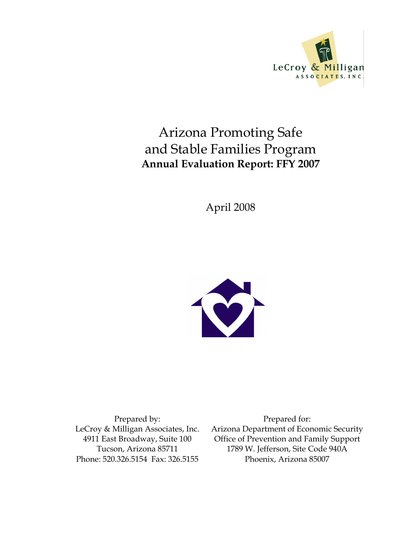

# Arizona Promoting Safe and Stable Families Program Annual Evaluation Report: FFY 2007

April 2008



Prepared by: LeCroy & Milligan Associates, Inc. 4911 East Broadway, Suite 100 Tucson, Arizona 85711 Phone: 520.326.5154 Fax: 326.5155

Prepared for: Arizona Department of Economic Security Office of Prevention and Family Support 1789 W. Jefferson, Site Code 940A Phoenix, Arizona 85007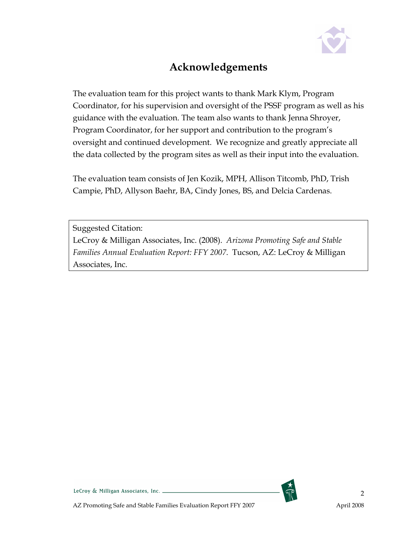

## Acknowledgements

The evaluation team for this project wants to thank Mark Klym, Program Coordinator, for his supervision and oversight of the PSSF program as well as his guidance with the evaluation. The team also wants to thank Jenna Shroyer, Program Coordinator, for her support and contribution to the program's oversight and continued development. We recognize and greatly appreciate all the data collected by the program sites as well as their input into the evaluation.

The evaluation team consists of Jen Kozik, MPH, Allison Titcomb, PhD, Trish Campie, PhD, Allyson Baehr, BA, Cindy Jones, BS, and Delcia Cardenas.

Suggested Citation:

LeCroy & Milligan Associates, Inc. (2008). Arizona Promoting Safe and Stable Families Annual Evaluation Report: FFY 2007. Tucson, AZ: LeCroy & Milligan Associates, Inc.

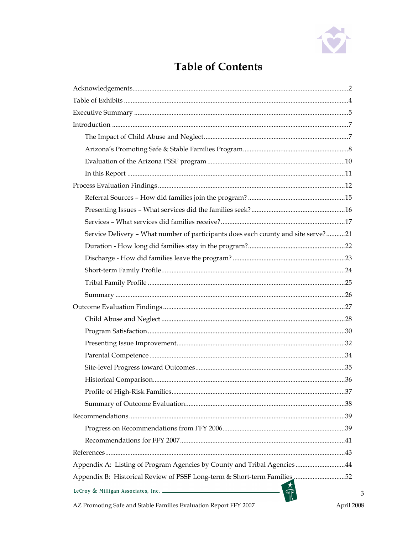

# **Table of Contents**

| Service Delivery - What number of participants does each county and site serve?21 |            |
|-----------------------------------------------------------------------------------|------------|
|                                                                                   |            |
|                                                                                   |            |
|                                                                                   |            |
|                                                                                   |            |
|                                                                                   |            |
|                                                                                   |            |
|                                                                                   |            |
|                                                                                   |            |
|                                                                                   |            |
|                                                                                   |            |
|                                                                                   |            |
|                                                                                   |            |
|                                                                                   |            |
|                                                                                   |            |
|                                                                                   |            |
|                                                                                   |            |
|                                                                                   |            |
|                                                                                   |            |
| Appendix A: Listing of Program Agencies by County and Tribal Agencies44           |            |
| Appendix B: Historical Review of PSSF Long-term & Short-term Families 52          |            |
| LeCroy & Milligan Associates, Inc.                                                | 3          |
| AZ Promoting Safe and Stable Families Evaluation Report FFY 2007                  | April 2008 |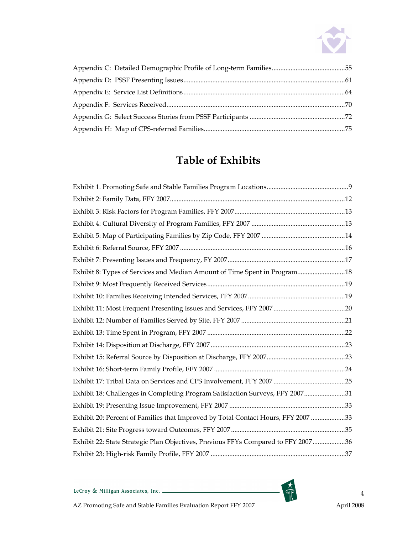

# Table of Exhibits

| Exhibit 8: Types of Services and Median Amount of Time Spent in Program18         |  |
|-----------------------------------------------------------------------------------|--|
|                                                                                   |  |
|                                                                                   |  |
|                                                                                   |  |
|                                                                                   |  |
|                                                                                   |  |
|                                                                                   |  |
|                                                                                   |  |
|                                                                                   |  |
|                                                                                   |  |
| Exhibit 18: Challenges in Completing Program Satisfaction Surveys, FFY 200731     |  |
|                                                                                   |  |
| Exhibit 20: Percent of Families that Improved by Total Contact Hours, FFY 2007 33 |  |
|                                                                                   |  |
| Exhibit 22: State Strategic Plan Objectives, Previous FFYs Compared to FFY 200736 |  |
|                                                                                   |  |

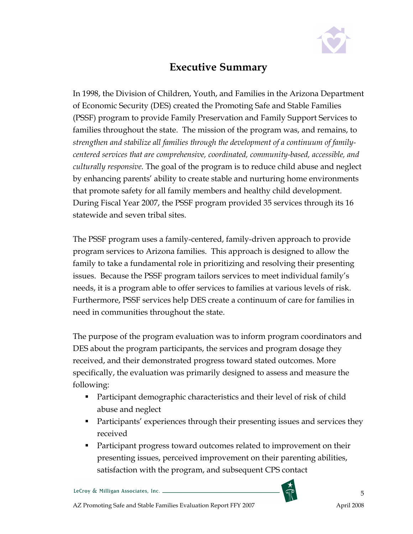

### Executive Summary

In 1998, the Division of Children, Youth, and Families in the Arizona Department of Economic Security (DES) created the Promoting Safe and Stable Families (PSSF) program to provide Family Preservation and Family Support Services to families throughout the state. The mission of the program was, and remains, to strengthen and stabilize all families through the development of a continuum of familycentered services that are comprehensive, coordinated, community-based, accessible, and culturally responsive. The goal of the program is to reduce child abuse and neglect by enhancing parents' ability to create stable and nurturing home environments that promote safety for all family members and healthy child development. During Fiscal Year 2007, the PSSF program provided 35 services through its 16 statewide and seven tribal sites.

The PSSF program uses a family-centered, family-driven approach to provide program services to Arizona families. This approach is designed to allow the family to take a fundamental role in prioritizing and resolving their presenting issues. Because the PSSF program tailors services to meet individual family's needs, it is a program able to offer services to families at various levels of risk. Furthermore, PSSF services help DES create a continuum of care for families in need in communities throughout the state.

The purpose of the program evaluation was to inform program coordinators and DES about the program participants, the services and program dosage they received, and their demonstrated progress toward stated outcomes. More specifically, the evaluation was primarily designed to assess and measure the following:

- Participant demographic characteristics and their level of risk of child abuse and neglect
- **Participants' experiences through their presenting issues and services they** received
- **Participant progress toward outcomes related to improvement on their** presenting issues, perceived improvement on their parenting abilities, satisfaction with the program, and subsequent CPS contact

LeCroy & Milligan Associates, Inc. \_



5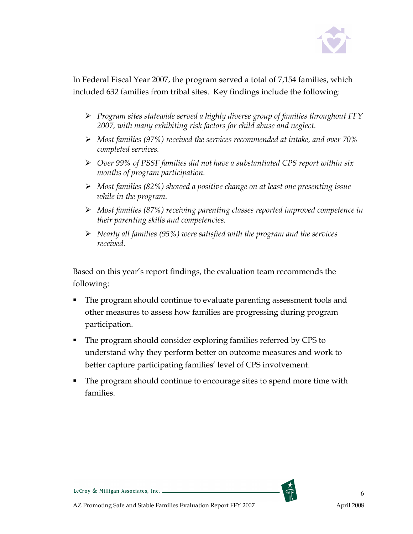

In Federal Fiscal Year 2007, the program served a total of 7,154 families, which included 632 families from tribal sites. Key findings include the following:

- $\triangleright$  Program sites statewide served a highly diverse group of families throughout FFY 2007, with many exhibiting risk factors for child abuse and neglect.
- $\triangleright$  Most families (97%) received the services recommended at intake, and over 70% completed services.
- Over 99% of PSSF families did not have a substantiated CPS report within six months of program participation.
- $\triangleright$  Most families (82%) showed a positive change on at least one presenting issue while in the program.
- Most families (87%) receiving parenting classes reported improved competence in their parenting skills and competencies.
- $\triangleright$  Nearly all families (95%) were satisfied with the program and the services received.

Based on this year's report findings, the evaluation team recommends the following:

- The program should continue to evaluate parenting assessment tools and other measures to assess how families are progressing during program participation.
- The program should consider exploring families referred by CPS to understand why they perform better on outcome measures and work to better capture participating families' level of CPS involvement.
- The program should continue to encourage sites to spend more time with families.



LeCroy & Milligan Associates, Inc. \_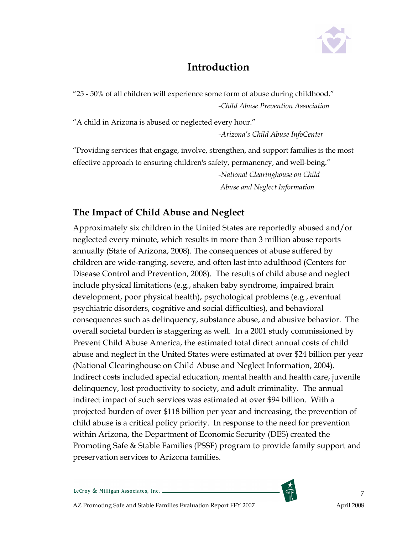

## Introduction

"25 - 50% of all children will experience some form of abuse during childhood." -Child Abuse Prevention Association

"A child in Arizona is abused or neglected every hour." -Arizona's Child Abuse InfoCenter

"Providing services that engage, involve, strengthen, and support families is the most effective approach to ensuring children's safety, permanency, and well-being."

> -National Clearinghouse on Child Abuse and Neglect Information

#### The Impact of Child Abuse and Neglect

Approximately six children in the United States are reportedly abused and/or neglected every minute, which results in more than 3 million abuse reports annually (State of Arizona, 2008). The consequences of abuse suffered by children are wide-ranging, severe, and often last into adulthood (Centers for Disease Control and Prevention, 2008). The results of child abuse and neglect include physical limitations (e.g., shaken baby syndrome, impaired brain development, poor physical health), psychological problems (e.g., eventual psychiatric disorders, cognitive and social difficulties), and behavioral consequences such as delinquency, substance abuse, and abusive behavior. The overall societal burden is staggering as well. In a 2001 study commissioned by Prevent Child Abuse America, the estimated total direct annual costs of child abuse and neglect in the United States were estimated at over \$24 billion per year (National Clearinghouse on Child Abuse and Neglect Information, 2004). Indirect costs included special education, mental health and health care, juvenile delinquency, lost productivity to society, and adult criminality. The annual indirect impact of such services was estimated at over \$94 billion. With a projected burden of over \$118 billion per year and increasing, the prevention of child abuse is a critical policy priority. In response to the need for prevention within Arizona, the Department of Economic Security (DES) created the Promoting Safe & Stable Families (PSSF) program to provide family support and preservation services to Arizona families.

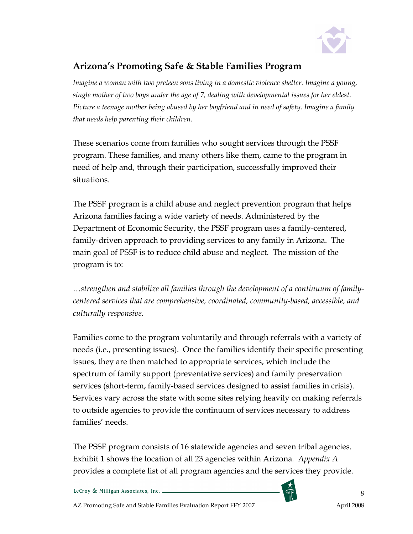

#### Arizona's Promoting Safe & Stable Families Program

Imagine a woman with two preteen sons living in a domestic violence shelter. Imagine a young, single mother of two boys under the age of 7, dealing with developmental issues for her eldest. Picture a teenage mother being abused by her boyfriend and in need of safety. Imagine a family that needs help parenting their children.

These scenarios come from families who sought services through the PSSF program. These families, and many others like them, came to the program in need of help and, through their participation, successfully improved their situations.

The PSSF program is a child abuse and neglect prevention program that helps Arizona families facing a wide variety of needs. Administered by the Department of Economic Security, the PSSF program uses a family-centered, family-driven approach to providing services to any family in Arizona. The main goal of PSSF is to reduce child abuse and neglect. The mission of the program is to:

…strengthen and stabilize all families through the development of a continuum of familycentered services that are comprehensive, coordinated, community-based, accessible, and culturally responsive.

Families come to the program voluntarily and through referrals with a variety of needs (i.e., presenting issues). Once the families identify their specific presenting issues, they are then matched to appropriate services, which include the spectrum of family support (preventative services) and family preservation services (short-term, family-based services designed to assist families in crisis). Services vary across the state with some sites relying heavily on making referrals to outside agencies to provide the continuum of services necessary to address families' needs.

The PSSF program consists of 16 statewide agencies and seven tribal agencies. Exhibit 1 shows the location of all 23 agencies within Arizona. Appendix A provides a complete list of all program agencies and the services they provide.

LeCroy & Milligan Associates, Inc. \_



8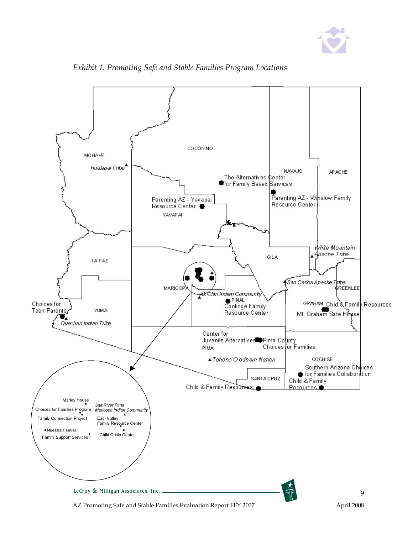



Exhibit 1. Promoting Safe and Stable Families Program Locations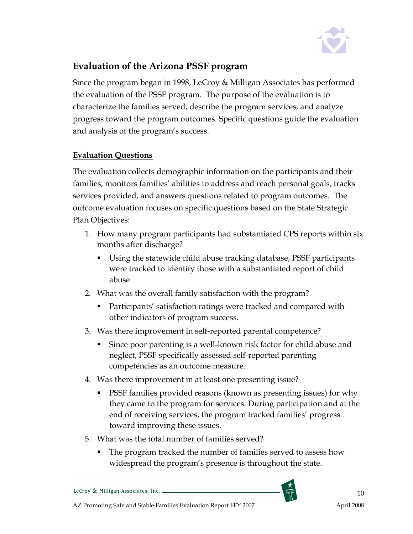

#### Evaluation of the Arizona PSSF program

Since the program began in 1998, LeCroy & Milligan Associates has performed the evaluation of the PSSF program. The purpose of the evaluation is to characterize the families served, describe the program services, and analyze progress toward the program outcomes. Specific questions guide the evaluation and analysis of the program's success.

#### Evaluation Questions

The evaluation collects demographic information on the participants and their families, monitors families' abilities to address and reach personal goals, tracks services provided, and answers questions related to program outcomes. The outcome evaluation focuses on specific questions based on the State Strategic Plan Objectives:

- 1. How many program participants had substantiated CPS reports within six months after discharge?
	- Using the statewide child abuse tracking database, PSSF participants were tracked to identify those with a substantiated report of child abuse.
- 2. What was the overall family satisfaction with the program?
	- Participants' satisfaction ratings were tracked and compared with other indicators of program success.
- 3. Was there improvement in self-reported parental competence?
	- Since poor parenting is a well-known risk factor for child abuse and neglect, PSSF specifically assessed self-reported parenting competencies as an outcome measure.
- 4. Was there improvement in at least one presenting issue?
	- **PSSF** families provided reasons (known as presenting issues) for why they came to the program for services. During participation and at the end of receiving services, the program tracked families' progress toward improving these issues.
- 5. What was the total number of families served?
	- The program tracked the number of families served to assess how widespread the program's presence is throughout the state.

LeCroy & Milligan Associates, Inc. \_

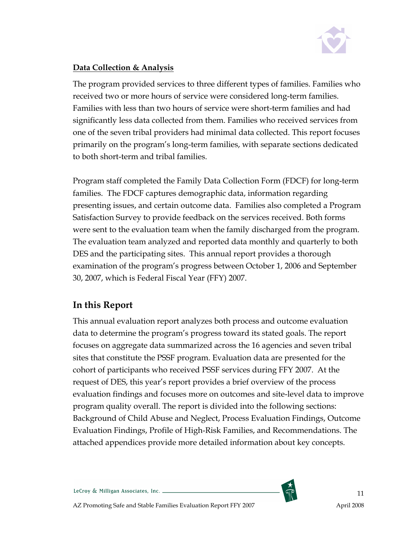

#### Data Collection & Analysis

The program provided services to three different types of families. Families who received two or more hours of service were considered long-term families. Families with less than two hours of service were short-term families and had significantly less data collected from them. Families who received services from one of the seven tribal providers had minimal data collected. This report focuses primarily on the program's long-term families, with separate sections dedicated to both short-term and tribal families.

Program staff completed the Family Data Collection Form (FDCF) for long-term families. The FDCF captures demographic data, information regarding presenting issues, and certain outcome data. Families also completed a Program Satisfaction Survey to provide feedback on the services received. Both forms were sent to the evaluation team when the family discharged from the program. The evaluation team analyzed and reported data monthly and quarterly to both DES and the participating sites. This annual report provides a thorough examination of the program's progress between October 1, 2006 and September 30, 2007, which is Federal Fiscal Year (FFY) 2007.

#### In this Report

This annual evaluation report analyzes both process and outcome evaluation data to determine the program's progress toward its stated goals. The report focuses on aggregate data summarized across the 16 agencies and seven tribal sites that constitute the PSSF program. Evaluation data are presented for the cohort of participants who received PSSF services during FFY 2007. At the request of DES, this year's report provides a brief overview of the process evaluation findings and focuses more on outcomes and site-level data to improve program quality overall. The report is divided into the following sections: Background of Child Abuse and Neglect, Process Evaluation Findings, Outcome Evaluation Findings, Profile of High-Risk Families, and Recommendations. The attached appendices provide more detailed information about key concepts.

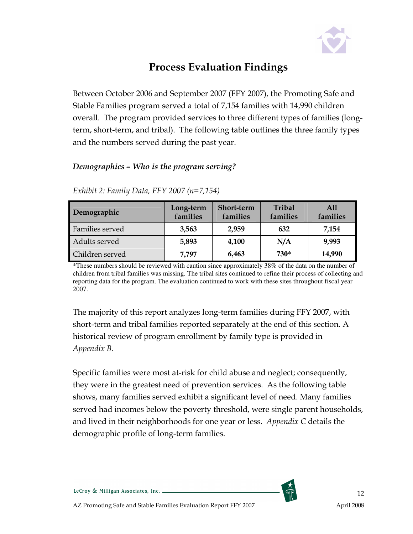

## Process Evaluation Findings

Between October 2006 and September 2007 (FFY 2007), the Promoting Safe and Stable Families program served a total of 7,154 families with 14,990 children overall. The program provided services to three different types of families (longterm, short-term, and tribal). The following table outlines the three family types and the numbers served during the past year.

#### Demographics – Who is the program serving?

| Demographic     | Long-term<br>families | <b>Short-term</b><br>families | Tribal<br>families | All<br>families |
|-----------------|-----------------------|-------------------------------|--------------------|-----------------|
| Families served | 3,563                 | 2,959                         | 632                | 7,154           |
| Adults served   | 5,893                 | 4,100                         | N/A                | 9,993           |
| Children served | 7,797                 | 6,463                         | 730*               | 14,990          |

Exhibit 2: Family Data, FFY 2007 (n=7,154)

\*These numbers should be reviewed with caution since approximately 38% of the data on the number of children from tribal families was missing. The tribal sites continued to refine their process of collecting and reporting data for the program. The evaluation continued to work with these sites throughout fiscal year 2007.

The majority of this report analyzes long-term families during FFY 2007, with short-term and tribal families reported separately at the end of this section. A historical review of program enrollment by family type is provided in Appendix B.

Specific families were most at-risk for child abuse and neglect; consequently, they were in the greatest need of prevention services. As the following table shows, many families served exhibit a significant level of need. Many families served had incomes below the poverty threshold, were single parent households, and lived in their neighborhoods for one year or less. Appendix C details the demographic profile of long-term families.

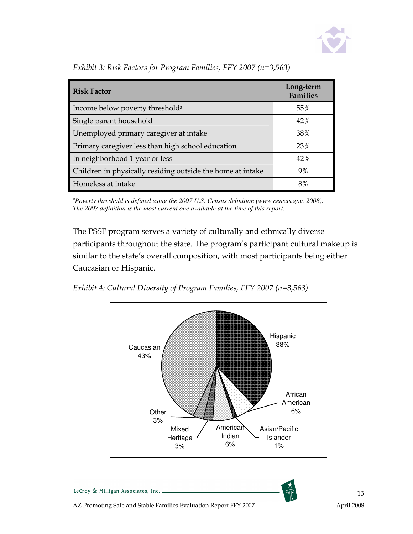

| <b>Risk Factor</b>                                         | Long-term<br><b>Families</b> |
|------------------------------------------------------------|------------------------------|
| Income below poverty threshold <sup>a</sup>                | 55%                          |
| Single parent household                                    | 42%                          |
| Unemployed primary caregiver at intake                     | 38%                          |
| Primary caregiver less than high school education          | 23%                          |
| In neighborhood 1 year or less                             | 42%                          |
| Children in physically residing outside the home at intake | 9%                           |
| Homeless at intake                                         | 8%                           |

Exhibit 3: Risk Factors for Program Families, FFY 2007 (n=3,563)

*<sup>a</sup>Poverty threshold is defined using the 2007 U.S. Census definition (www.census.gov, 2008). The 2007 definition is the most current one available at the time of this report.* 

The PSSF program serves a variety of culturally and ethnically diverse participants throughout the state. The program's participant cultural makeup is similar to the state's overall composition, with most participants being either Caucasian or Hispanic.





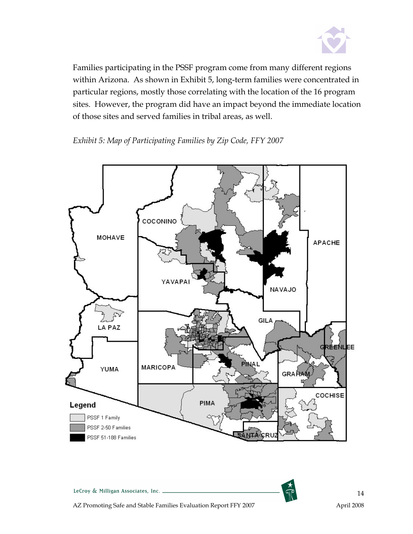

Families participating in the PSSF program come from many different regions within Arizona. As shown in Exhibit 5, long-term families were concentrated in particular regions, mostly those correlating with the location of the 16 program sites. However, the program did have an impact beyond the immediate location of those sites and served families in tribal areas, as well.

Exhibit 5: Map of Participating Families by Zip Code, FFY 2007

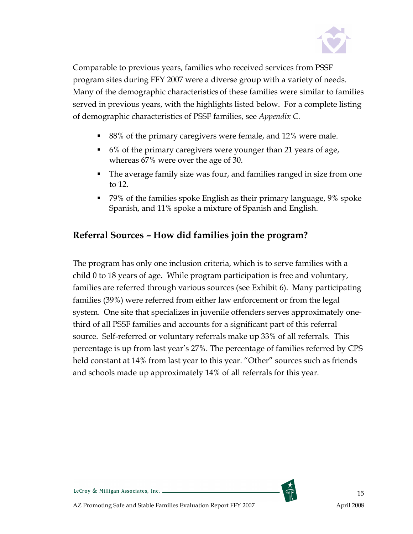

Comparable to previous years, families who received services from PSSF program sites during FFY 2007 were a diverse group with a variety of needs. Many of the demographic characteristics of these families were similar to families served in previous years, with the highlights listed below. For a complete listing of demographic characteristics of PSSF families, see Appendix C.

- 88% of the primary caregivers were female, and 12% were male.
- 6% of the primary caregivers were younger than 21 years of age, whereas 67% were over the age of 30.
- The average family size was four, and families ranged in size from one to 12.
- 79% of the families spoke English as their primary language, 9% spoke Spanish, and 11% spoke a mixture of Spanish and English.

#### Referral Sources – How did families join the program?

The program has only one inclusion criteria, which is to serve families with a child 0 to 18 years of age. While program participation is free and voluntary, families are referred through various sources (see Exhibit 6). Many participating families (39%) were referred from either law enforcement or from the legal system. One site that specializes in juvenile offenders serves approximately onethird of all PSSF families and accounts for a significant part of this referral source. Self-referred or voluntary referrals make up 33% of all referrals. This percentage is up from last year's 27%. The percentage of families referred by CPS held constant at 14% from last year to this year. "Other" sources such as friends and schools made up approximately 14% of all referrals for this year.

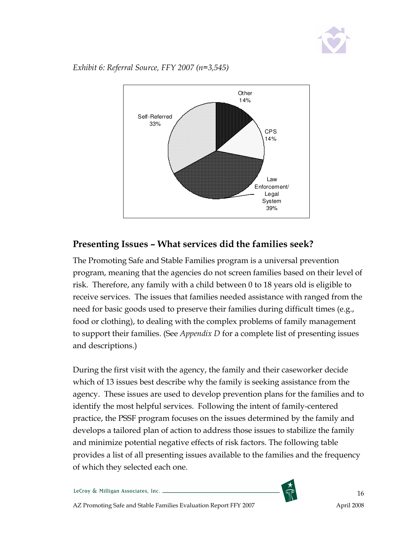

Exhibit 6: Referral Source, FFY 2007 (n=3,545)



#### Presenting Issues – What services did the families seek?

The Promoting Safe and Stable Families program is a universal prevention program, meaning that the agencies do not screen families based on their level of risk. Therefore, any family with a child between 0 to 18 years old is eligible to receive services. The issues that families needed assistance with ranged from the need for basic goods used to preserve their families during difficult times (e.g., food or clothing), to dealing with the complex problems of family management to support their families. (See Appendix D for a complete list of presenting issues and descriptions.)

During the first visit with the agency, the family and their caseworker decide which of 13 issues best describe why the family is seeking assistance from the agency. These issues are used to develop prevention plans for the families and to identify the most helpful services. Following the intent of family-centered practice, the PSSF program focuses on the issues determined by the family and develops a tailored plan of action to address those issues to stabilize the family and minimize potential negative effects of risk factors. The following table provides a list of all presenting issues available to the families and the frequency of which they selected each one.

LeCroy & Milligan Associates, Inc. \_

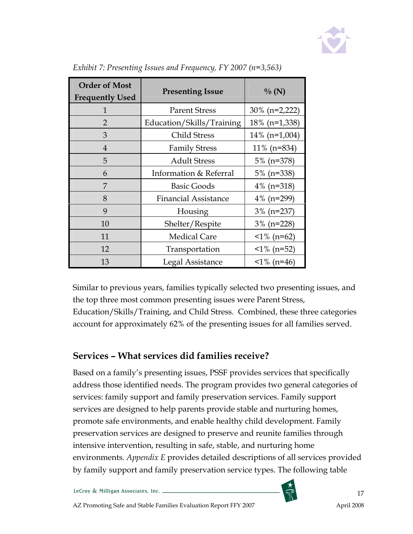

| <b>Order of Most</b><br><b>Frequently Used</b> | <b>Presenting Issue</b>     | $\%$ (N)         |
|------------------------------------------------|-----------------------------|------------------|
| 1                                              | <b>Parent Stress</b>        | $30\%$ (n=2,222) |
| 2                                              | Education/Skills/Training   | $18\%$ (n=1,338) |
| 3                                              | Child Stress                | $14\%$ (n=1,004) |
| $\overline{4}$                                 | <b>Family Stress</b>        | $11\%$ (n=834)   |
| 5                                              | <b>Adult Stress</b>         | $5\%$ (n=378)    |
| 6                                              | Information & Referral      | $5\%$ (n=338)    |
| 7                                              | <b>Basic Goods</b>          | 4\% (n=318)      |
| 8                                              | <b>Financial Assistance</b> | $4\%$ (n=299)    |
| 9                                              | Housing                     | $3\%$ (n=237)    |
| 10                                             | Shelter/Respite             | $3\%$ (n=228)    |
| 11                                             | <b>Medical Care</b>         | $1\%$ (n=62)     |
| 12                                             | Transportation              | $\leq$ 1% (n=52) |
| 13                                             | Legal Assistance            | $1\%$ (n=46)     |

Exhibit 7: Presenting Issues and Frequency, FY 2007 (n=3,563)

Similar to previous years, families typically selected two presenting issues, and the top three most common presenting issues were Parent Stress, Education/Skills/Training, and Child Stress. Combined, these three categories account for approximately 62% of the presenting issues for all families served.

#### Services – What services did families receive?

Based on a family's presenting issues, PSSF provides services that specifically address those identified needs. The program provides two general categories of services: family support and family preservation services. Family support services are designed to help parents provide stable and nurturing homes, promote safe environments, and enable healthy child development. Family preservation services are designed to preserve and reunite families through intensive intervention, resulting in safe, stable, and nurturing home environments. Appendix E provides detailed descriptions of all services provided by family support and family preservation service types. The following table

LeCroy & Milligan Associates, Inc. \_

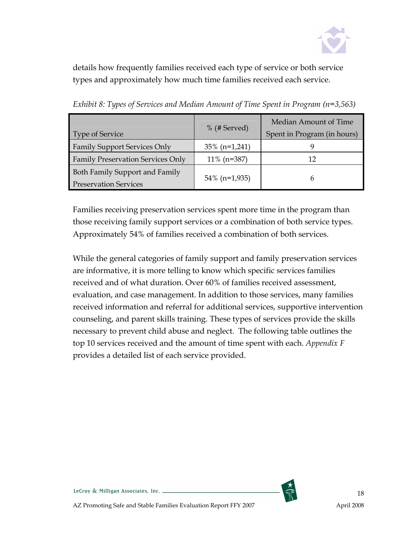

details how frequently families received each type of service or both service types and approximately how much time families received each service.

| <b>Type of Service</b>                                         | $%$ (# Served)   | Median Amount of Time<br>Spent in Program (in hours) |
|----------------------------------------------------------------|------------------|------------------------------------------------------|
| <b>Family Support Services Only</b>                            | $35\%$ (n=1,241) |                                                      |
| <b>Family Preservation Services Only</b>                       | $11\%$ (n=387)   | 12                                                   |
| Both Family Support and Family<br><b>Preservation Services</b> | $54\%$ (n=1,935) | h                                                    |

Exhibit 8: Types of Services and Median Amount of Time Spent in Program (n=3,563)

Families receiving preservation services spent more time in the program than those receiving family support services or a combination of both service types. Approximately 54% of families received a combination of both services.

While the general categories of family support and family preservation services are informative, it is more telling to know which specific services families received and of what duration. Over 60% of families received assessment, evaluation, and case management. In addition to those services, many families received information and referral for additional services, supportive intervention counseling, and parent skills training. These types of services provide the skills necessary to prevent child abuse and neglect. The following table outlines the top 10 services received and the amount of time spent with each. Appendix F provides a detailed list of each service provided.

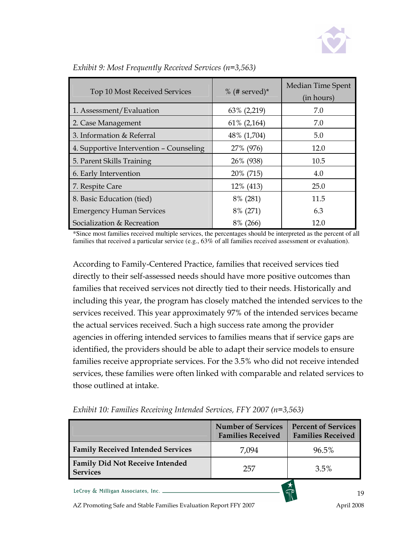

| Top 10 Most Received Services           | $%$ (# served)* | Median Time Spent<br>(in hours) |
|-----------------------------------------|-----------------|---------------------------------|
| 1. Assessment/Evaluation                | 63% (2,219)     | 7.0                             |
| 2. Case Management                      | $61\%$ (2,164)  | 7.0                             |
| 3. Information & Referral               | 48% (1,704)     | 5.0                             |
| 4. Supportive Intervention - Counseling | 27% (976)       | 12.0                            |
| 5. Parent Skills Training               | 26% (938)       | 10.5                            |
| 6. Early Intervention                   | 20% (715)       | 4.0                             |
| 7. Respite Care                         | 12% (413)       | 25.0                            |
| 8. Basic Education (tied)               | 8% (281)        | 11.5                            |
| <b>Emergency Human Services</b>         | 8% (271)        | 6.3                             |
| Socialization & Recreation              | 8% (266)        | 12.0                            |

Exhibit 9: Most Frequently Received Services (n=3,563)

\*Since most families received multiple services, the percentages should be interpreted as the percent of all families that received a particular service (e.g., 63% of all families received assessment or evaluation).

According to Family-Centered Practice, families that received services tied directly to their self-assessed needs should have more positive outcomes than families that received services not directly tied to their needs. Historically and including this year, the program has closely matched the intended services to the services received. This year approximately 97% of the intended services became the actual services received. Such a high success rate among the provider agencies in offering intended services to families means that if service gaps are identified, the providers should be able to adapt their service models to ensure families receive appropriate services. For the 3.5% who did not receive intended services, these families were often linked with comparable and related services to those outlined at intake.

|                                                           | <b>Number of Services</b><br><b>Families Received</b> | <b>Percent of Services</b><br><b>Families Received</b> |
|-----------------------------------------------------------|-------------------------------------------------------|--------------------------------------------------------|
| <b>Family Received Intended Services</b>                  | 7,094                                                 | 96.5%                                                  |
| <b>Family Did Not Receive Intended</b><br><b>Services</b> | 257                                                   | $3.5\%$                                                |
| LeCroy & Milligan Associates, Inc.                        |                                                       |                                                        |

Exhibit 10: Families Receiving Intended Services, FFY 2007 (n=3,563)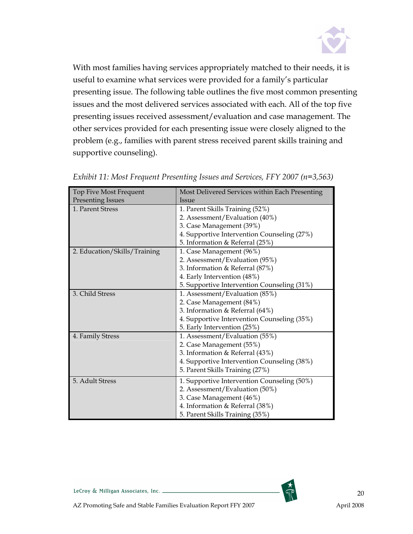

With most families having services appropriately matched to their needs, it is useful to examine what services were provided for a family's particular presenting issue. The following table outlines the five most common presenting issues and the most delivered services associated with each. All of the top five presenting issues received assessment/evaluation and case management. The other services provided for each presenting issue were closely aligned to the problem (e.g., families with parent stress received parent skills training and supportive counseling).

| Top Five Most Frequent       | Most Delivered Services within Each Presenting |  |  |
|------------------------------|------------------------------------------------|--|--|
| <b>Presenting Issues</b>     | Issue                                          |  |  |
| 1. Parent Stress             | 1. Parent Skills Training (52%)                |  |  |
|                              | 2. Assessment/Evaluation (40%)                 |  |  |
|                              | 3. Case Management (39%)                       |  |  |
|                              | 4. Supportive Intervention Counseling (27%)    |  |  |
|                              | 5. Information & Referral (25%)                |  |  |
| 2. Education/Skills/Training | 1. Case Management (96%)                       |  |  |
|                              | 2. Assessment/Evaluation (95%)                 |  |  |
|                              | 3. Information & Referral (87%)                |  |  |
|                              | 4. Early Intervention (48%)                    |  |  |
|                              | 5. Supportive Intervention Counseling (31%)    |  |  |
| 3. Child Stress              | 1. Assessment/Evaluation (85%)                 |  |  |
|                              | 2. Case Management (84%)                       |  |  |
|                              | 3. Information & Referral (64%)                |  |  |
|                              | 4. Supportive Intervention Counseling (35%)    |  |  |
|                              | 5. Early Intervention (25%)                    |  |  |
| 4. Family Stress             | 1. Assessment/Evaluation (55%)                 |  |  |
|                              | 2. Case Management (55%)                       |  |  |
|                              | 3. Information & Referral (43%)                |  |  |
|                              | 4. Supportive Intervention Counseling (38%)    |  |  |
|                              | 5. Parent Skills Training (27%)                |  |  |
| 5. Adult Stress              | 1. Supportive Intervention Counseling (50%)    |  |  |
|                              | 2. Assessment/Evaluation (50%)                 |  |  |
|                              | 3. Case Management (46%)                       |  |  |
|                              | 4. Information & Referral (38%)                |  |  |
|                              | 5. Parent Skills Training (35%)                |  |  |

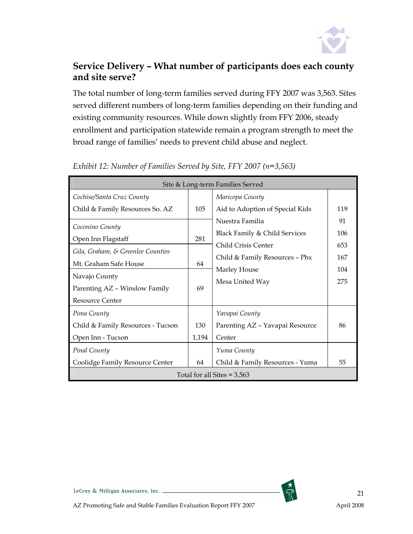

#### Service Delivery – What number of participants does each county and site serve?

The total number of long-term families served during FFY 2007 was 3,563. Sites served different numbers of long-term families depending on their funding and existing community resources. While down slightly from FFY 2006, steady enrollment and participation statewide remain a program strength to meet the broad range of families' needs to prevent child abuse and neglect.

| Site & Long-term Families Served  |       |                                 |     |  |  |
|-----------------------------------|-------|---------------------------------|-----|--|--|
| Cochise/Santa Cruz County         |       | Maricopa County                 |     |  |  |
| Child & Family Resources So. AZ   | 105   | Aid to Adoption of Special Kids | 119 |  |  |
| Coconino County                   |       | Nuestra Familia                 | 91  |  |  |
| Open Inn Flagstaff                | 281   | Black Family & Child Services   | 106 |  |  |
| Gila, Graham, & Greenlee Counties |       | Child Crisis Center             | 653 |  |  |
| Mt. Graham Safe House             | 64    | Child & Family Resources - Phx  | 167 |  |  |
|                                   |       | Marley House                    | 104 |  |  |
| Navajo County                     |       | Mesa United Way                 | 275 |  |  |
| Parenting AZ - Winslow Family     | 69    |                                 |     |  |  |
| Resource Center                   |       |                                 |     |  |  |
| Pima County                       |       | Yavapai County                  |     |  |  |
| Child & Family Resources - Tucson | 130   | Parenting AZ - Yavapai Resource | 86  |  |  |
| Open Inn - Tucson                 | 1,194 | Center                          |     |  |  |
| Pinal County                      |       | Yuma County                     |     |  |  |
| Coolidge Family Resource Center   | 64    | Child & Family Resources - Yuma | 55  |  |  |
| Total for all Sites $= 3,563$     |       |                                 |     |  |  |

Exhibit 12: Number of Families Served by Site, FFY 2007 (n=3,563)

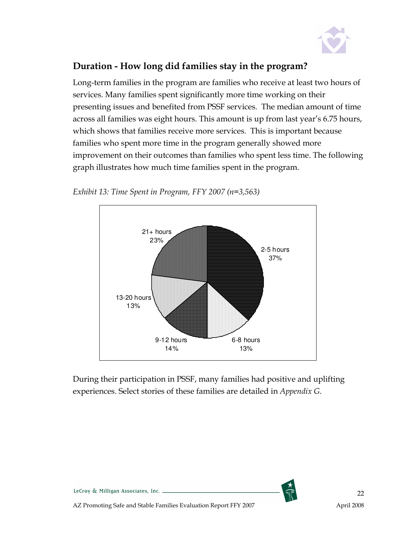

#### Duration - How long did families stay in the program?

Long-term families in the program are families who receive at least two hours of services. Many families spent significantly more time working on their presenting issues and benefited from PSSF services. The median amount of time across all families was eight hours. This amount is up from last year's 6.75 hours, which shows that families receive more services. This is important because families who spent more time in the program generally showed more improvement on their outcomes than families who spent less time. The following graph illustrates how much time families spent in the program.





During their participation in PSSF, many families had positive and uplifting experiences. Select stories of these families are detailed in Appendix G.



LeCroy & Milligan Associates, Inc. \_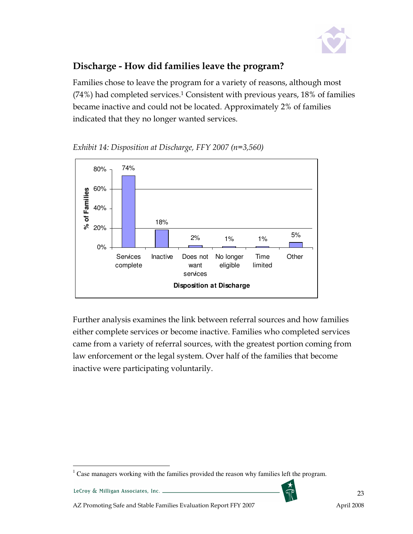

### Discharge - How did families leave the program?

Families chose to leave the program for a variety of reasons, although most (74%) had completed services.<sup>1</sup> Consistent with previous years, 18% of families became inactive and could not be located. Approximately 2% of families indicated that they no longer wanted services.





Further analysis examines the link between referral sources and how families either complete services or become inactive. Families who completed services came from a variety of referral sources, with the greatest portion coming from law enforcement or the legal system. Over half of the families that become inactive were participating voluntarily.



 $\overline{a}$  $1$  Case managers working with the families provided the reason why families left the program.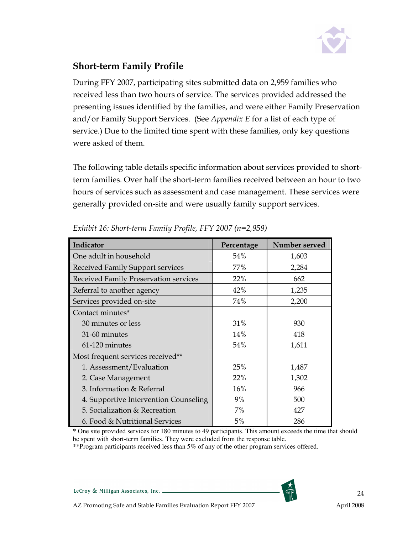

#### Short-term Family Profile

During FFY 2007, participating sites submitted data on 2,959 families who received less than two hours of service. The services provided addressed the presenting issues identified by the families, and were either Family Preservation and/or Family Support Services. (See Appendix E for a list of each type of service.) Due to the limited time spent with these families, only key questions were asked of them.

The following table details specific information about services provided to shortterm families. Over half the short-term families received between an hour to two hours of services such as assessment and case management. These services were generally provided on-site and were usually family support services.

| Indicator                               | Percentage | Number served |
|-----------------------------------------|------------|---------------|
| One adult in household                  | 54%        | 1,603         |
| <b>Received Family Support services</b> | 77%        | 2,284         |
| Received Family Preservation services   | 22%        | 662           |
| Referral to another agency              | 42%        | 1,235         |
| Services provided on-site               | 74%        | 2,200         |
| Contact minutes*                        |            |               |
| 30 minutes or less                      | 31%        | 930           |
| 31-60 minutes                           | 14%        | 418           |
| 61-120 minutes                          | 54%        | 1,611         |
| Most frequent services received**       |            |               |
| 1. Assessment/Evaluation                | 25%        | 1,487         |
| 2. Case Management                      | 22%        | 1,302         |
| 3. Information & Referral               | 16%        | 966           |
| 4. Supportive Intervention Counseling   | 9%         | 500           |
| 5. Socialization & Recreation           | 7%         | 427           |
| 6. Food & Nutritional Services          | 5%         | 286           |

| Exhibit 16: Short-term Family Profile, FFY 2007 (n=2,959) |  |  |
|-----------------------------------------------------------|--|--|
|                                                           |  |  |

\* One site provided services for 180 minutes to 49 participants. This amount exceeds the time that should be spent with short-term families. They were excluded from the response table.

\*\*Program participants received less than 5% of any of the other program services offered.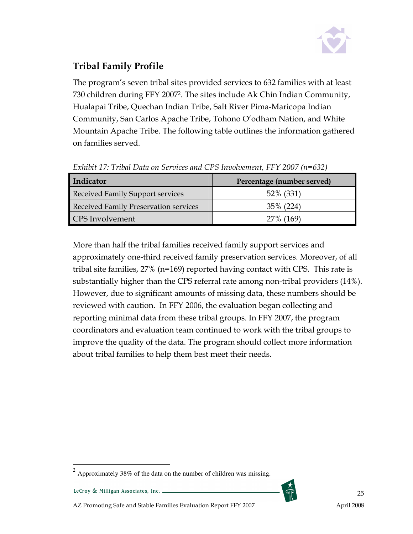

## Tribal Family Profile

The program's seven tribal sites provided services to 632 families with at least 730 children during FFY 2007<sup>2</sup>. The sites include Ak Chin Indian Community, Hualapai Tribe, Quechan Indian Tribe, Salt River Pima-Maricopa Indian Community, San Carlos Apache Tribe, Tohono O'odham Nation, and White Mountain Apache Tribe. The following table outlines the information gathered on families served.

| Indicator                                    | Percentage (number served) |  |  |
|----------------------------------------------|----------------------------|--|--|
| <b>Received Family Support services</b>      | 52% (331)                  |  |  |
| <b>Received Family Preservation services</b> | 35% (224)                  |  |  |
| <b>CPS</b> Involvement                       | 27% (169)                  |  |  |

Exhibit 17: Tribal Data on Services and CPS Involvement, FFY 2007 (n=632)

More than half the tribal families received family support services and approximately one-third received family preservation services. Moreover, of all tribal site families, 27% (n=169) reported having contact with CPS. This rate is substantially higher than the CPS referral rate among non-tribal providers (14%). However, due to significant amounts of missing data, these numbers should be reviewed with caution. In FFY 2006, the evaluation began collecting and reporting minimal data from these tribal groups. In FFY 2007, the program coordinators and evaluation team continued to work with the tribal groups to improve the quality of the data. The program should collect more information about tribal families to help them best meet their needs.

 $\overline{a}$ 



 $2$  Approximately 38% of the data on the number of children was missing.

AZ Promoting Safe and Stable Families Evaluation Report FFY 2007 April 2008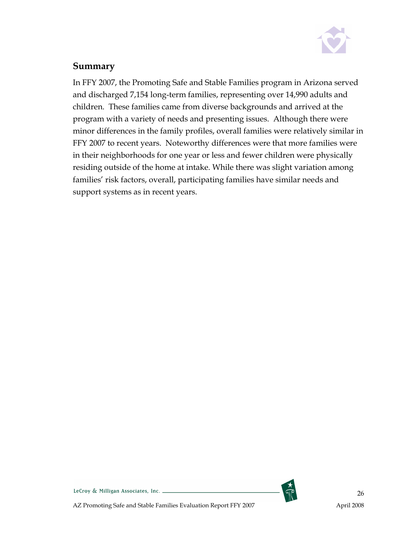

#### Summary

In FFY 2007, the Promoting Safe and Stable Families program in Arizona served and discharged 7,154 long-term families, representing over 14,990 adults and children. These families came from diverse backgrounds and arrived at the program with a variety of needs and presenting issues. Although there were minor differences in the family profiles, overall families were relatively similar in FFY 2007 to recent years. Noteworthy differences were that more families were in their neighborhoods for one year or less and fewer children were physically residing outside of the home at intake. While there was slight variation among families' risk factors, overall, participating families have similar needs and support systems as in recent years.



LeCroy & Milligan Associates, Inc.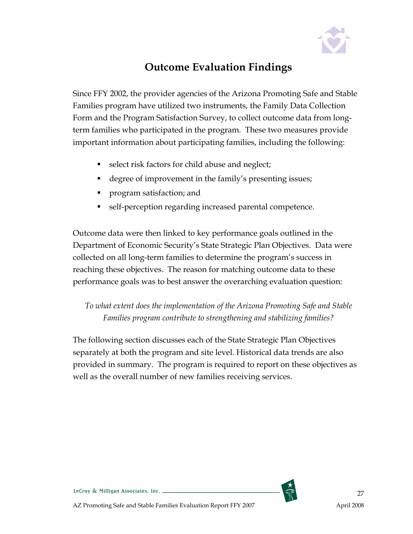

## Outcome Evaluation Findings

Since FFY 2002, the provider agencies of the Arizona Promoting Safe and Stable Families program have utilized two instruments, the Family Data Collection Form and the Program Satisfaction Survey, to collect outcome data from longterm families who participated in the program. These two measures provide important information about participating families, including the following:

- select risk factors for child abuse and neglect;
- degree of improvement in the family's presenting issues;
- **program satisfaction; and**
- self-perception regarding increased parental competence.

Outcome data were then linked to key performance goals outlined in the Department of Economic Security's State Strategic Plan Objectives. Data were collected on all long-term families to determine the program's success in reaching these objectives. The reason for matching outcome data to these performance goals was to best answer the overarching evaluation question:

To what extent does the implementation of the Arizona Promoting Safe and Stable Families program contribute to strengthening and stabilizing families?

The following section discusses each of the State Strategic Plan Objectives separately at both the program and site level. Historical data trends are also provided in summary. The program is required to report on these objectives as well as the overall number of new families receiving services.



LeCroy & Milligan Associates, Inc. \_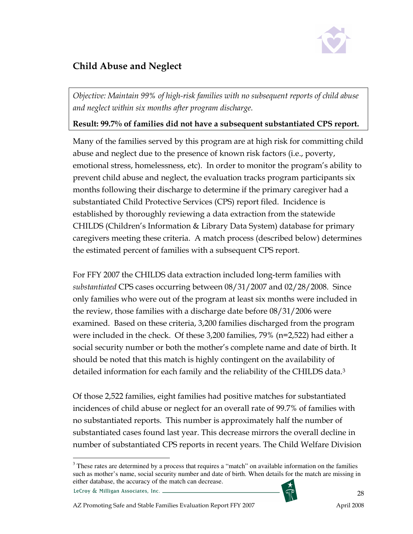

## Child Abuse and Neglect

Objective: Maintain 99% of high-risk families with no subsequent reports of child abuse and neglect within six months after program discharge.

#### Result: 99.7% of families did not have a subsequent substantiated CPS report.

Many of the families served by this program are at high risk for committing child abuse and neglect due to the presence of known risk factors (i.e., poverty, emotional stress, homelessness, etc). In order to monitor the program's ability to prevent child abuse and neglect, the evaluation tracks program participants six months following their discharge to determine if the primary caregiver had a substantiated Child Protective Services (CPS) report filed. Incidence is established by thoroughly reviewing a data extraction from the statewide CHILDS (Children's Information & Library Data System) database for primary caregivers meeting these criteria. A match process (described below) determines the estimated percent of families with a subsequent CPS report.

For FFY 2007 the CHILDS data extraction included long-term families with substantiated CPS cases occurring between 08/31/2007 and 02/28/2008. Since only families who were out of the program at least six months were included in the review, those families with a discharge date before 08/31/2006 were examined. Based on these criteria, 3,200 families discharged from the program were included in the check. Of these 3,200 families, 79% (n=2,522) had either a social security number or both the mother's complete name and date of birth. It should be noted that this match is highly contingent on the availability of detailed information for each family and the reliability of the CHILDS data.<sup>3</sup>

Of those 2,522 families, eight families had positive matches for substantiated incidences of child abuse or neglect for an overall rate of 99.7% of families with no substantiated reports. This number is approximately half the number of substantiated cases found last year. This decrease mirrors the overall decline in number of substantiated CPS reports in recent years. The Child Welfare Division

LeCroy & Milligan Associates, Inc. \_



 $\overline{a}$ <sup>3</sup> These rates are determined by a process that requires a "match" on available information on the families such as mother's name, social security number and date of birth. When details for the match are missing in either database, the accuracy of the match can decrease.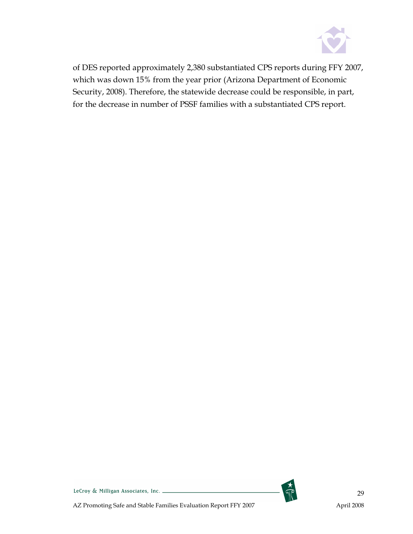

of DES reported approximately 2,380 substantiated CPS reports during FFY 2007, which was down 15% from the year prior (Arizona Department of Economic Security, 2008). Therefore, the statewide decrease could be responsible, in part, for the decrease in number of PSSF families with a substantiated CPS report.



LeCroy & Milligan Associates, Inc. \_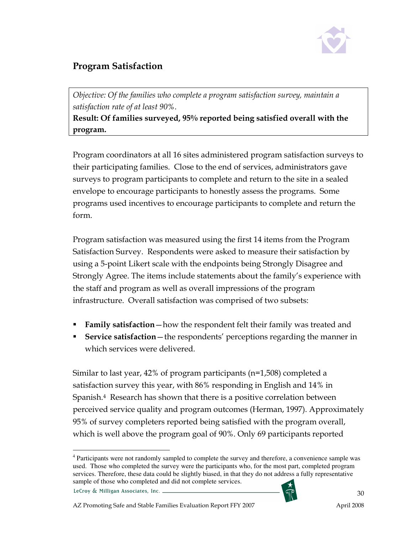

### Program Satisfaction

Objective: Of the families who complete a program satisfaction survey, maintain a satisfaction rate of at least 90%.

Result: Of families surveyed, 95% reported being satisfied overall with the program.

Program coordinators at all 16 sites administered program satisfaction surveys to their participating families. Close to the end of services, administrators gave surveys to program participants to complete and return to the site in a sealed envelope to encourage participants to honestly assess the programs. Some programs used incentives to encourage participants to complete and return the form.

Program satisfaction was measured using the first 14 items from the Program Satisfaction Survey. Respondents were asked to measure their satisfaction by using a 5-point Likert scale with the endpoints being Strongly Disagree and Strongly Agree. The items include statements about the family's experience with the staff and program as well as overall impressions of the program infrastructure. Overall satisfaction was comprised of two subsets:

- **Family satisfaction**—how the respondent felt their family was treated and
- Service satisfaction the respondents' perceptions regarding the manner in which services were delivered.

Similar to last year, 42% of program participants (n=1,508) completed a satisfaction survey this year, with 86% responding in English and 14% in Spanish.<sup>4</sup> Research has shown that there is a positive correlation between perceived service quality and program outcomes (Herman, 1997). Approximately 95% of survey completers reported being satisfied with the program overall, which is well above the program goal of 90%. Only 69 participants reported

LeCroy & Milligan Associates, Inc. \_



 $\overline{a}$ <sup>4</sup> Participants were not randomly sampled to complete the survey and therefore, a convenience sample was used. Those who completed the survey were the participants who, for the most part, completed program services. Therefore, these data could be slightly biased, in that they do not address a fully representative sample of those who completed and did not complete services.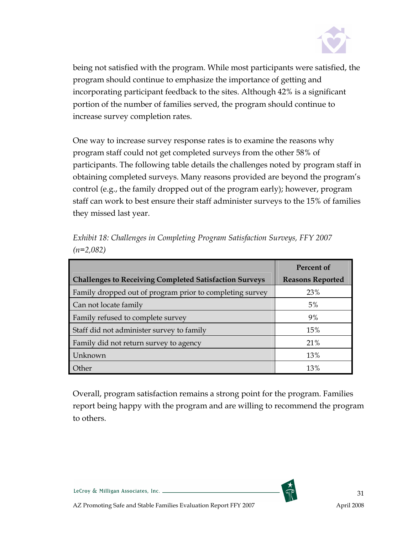

being not satisfied with the program. While most participants were satisfied, the program should continue to emphasize the importance of getting and incorporating participant feedback to the sites. Although 42% is a significant portion of the number of families served, the program should continue to increase survey completion rates.

One way to increase survey response rates is to examine the reasons why program staff could not get completed surveys from the other 58% of participants. The following table details the challenges noted by program staff in obtaining completed surveys. Many reasons provided are beyond the program's control (e.g., the family dropped out of the program early); however, program staff can work to best ensure their staff administer surveys to the 15% of families they missed last year.

|                                                               | Percent of              |
|---------------------------------------------------------------|-------------------------|
| <b>Challenges to Receiving Completed Satisfaction Surveys</b> | <b>Reasons Reported</b> |
| Family dropped out of program prior to completing survey      | 23%                     |
| Can not locate family                                         | 5%                      |
| Family refused to complete survey                             | 9%                      |
| Staff did not administer survey to family                     | 15%                     |
| Family did not return survey to agency                        | 21%                     |
| Unknown                                                       | 13%                     |
| Other                                                         | 13%                     |

Exhibit 18: Challenges in Completing Program Satisfaction Surveys, FFY 2007  $(n=2,082)$ 

Overall, program satisfaction remains a strong point for the program. Families report being happy with the program and are willing to recommend the program to others.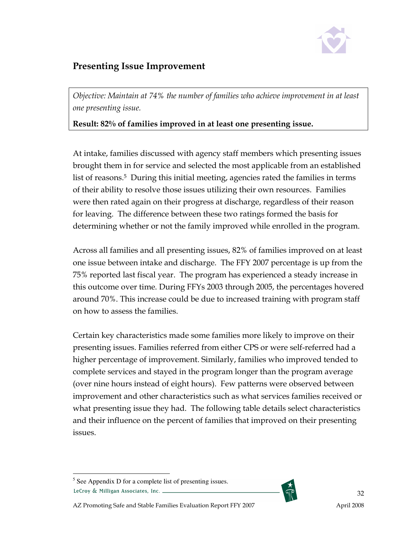

#### Presenting Issue Improvement

Objective: Maintain at 74% the number of families who achieve improvement in at least one presenting issue.

#### Result: 82% of families improved in at least one presenting issue.

At intake, families discussed with agency staff members which presenting issues brought them in for service and selected the most applicable from an established list of reasons.<sup>5</sup> During this initial meeting, agencies rated the families in terms of their ability to resolve those issues utilizing their own resources. Families were then rated again on their progress at discharge, regardless of their reason for leaving. The difference between these two ratings formed the basis for determining whether or not the family improved while enrolled in the program.

Across all families and all presenting issues, 82% of families improved on at least one issue between intake and discharge. The FFY 2007 percentage is up from the 75% reported last fiscal year. The program has experienced a steady increase in this outcome over time. During FFYs 2003 through 2005, the percentages hovered around 70%. This increase could be due to increased training with program staff on how to assess the families.

Certain key characteristics made some families more likely to improve on their presenting issues. Families referred from either CPS or were self-referred had a higher percentage of improvement. Similarly, families who improved tended to complete services and stayed in the program longer than the program average (over nine hours instead of eight hours). Few patterns were observed between improvement and other characteristics such as what services families received or what presenting issue they had. The following table details select characteristics and their influence on the percent of families that improved on their presenting issues.



 $\overline{a}$ <sup>5</sup> See Appendix D for a complete list of presenting issues. LeCroy & Milligan Associates, Inc. \_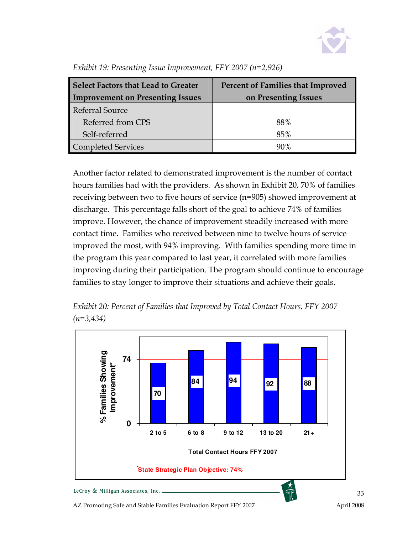

| Select Factors that Lead to Greater<br><b>Improvement on Presenting Issues</b> | <b>Percent of Families that Improved</b><br>on Presenting Issues |  |  |
|--------------------------------------------------------------------------------|------------------------------------------------------------------|--|--|
| Referral Source                                                                |                                                                  |  |  |
| Referred from CPS                                                              | 88%                                                              |  |  |
| Self-referred                                                                  | 85%                                                              |  |  |
| Completed Services                                                             | 90%                                                              |  |  |

Exhibit 19: Presenting Issue Improvement, FFY 2007 (n=2,926)

Another factor related to demonstrated improvement is the number of contact hours families had with the providers. As shown in Exhibit 20, 70% of families receiving between two to five hours of service (n=905) showed improvement at discharge. This percentage falls short of the goal to achieve 74% of families improve. However, the chance of improvement steadily increased with more contact time. Families who received between nine to twelve hours of service improved the most, with 94% improving. With families spending more time in the program this year compared to last year, it correlated with more families improving during their participation. The program should continue to encourage families to stay longer to improve their situations and achieve their goals.



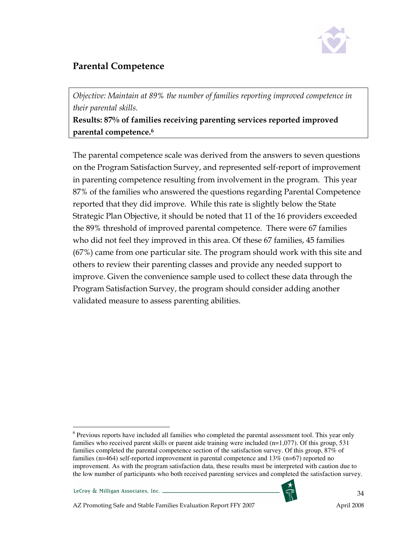

#### Parental Competence

Objective: Maintain at 89% the number of families reporting improved competence in their parental skills.

Results: 87% of families receiving parenting services reported improved parental competence.<sup>6</sup>

The parental competence scale was derived from the answers to seven questions on the Program Satisfaction Survey, and represented self-report of improvement in parenting competence resulting from involvement in the program. This year 87% of the families who answered the questions regarding Parental Competence reported that they did improve. While this rate is slightly below the State Strategic Plan Objective, it should be noted that 11 of the 16 providers exceeded the 89% threshold of improved parental competence. There were 67 families who did not feel they improved in this area. Of these 67 families, 45 families (67%) came from one particular site. The program should work with this site and others to review their parenting classes and provide any needed support to improve. Given the convenience sample used to collect these data through the Program Satisfaction Survey, the program should consider adding another validated measure to assess parenting abilities.

<sup>&</sup>lt;sup>6</sup> Previous reports have included all families who completed the parental assessment tool. This year only families who received parent skills or parent aide training were included  $(n=1,077)$ . Of this group, 531 families completed the parental competence section of the satisfaction survey. Of this group, 87% of families (n=464) self-reported improvement in parental competence and 13% (n=67) reported no improvement. As with the program satisfaction data, these results must be interpreted with caution due to the low number of participants who both received parenting services and completed the satisfaction survey.



 $\overline{a}$ 

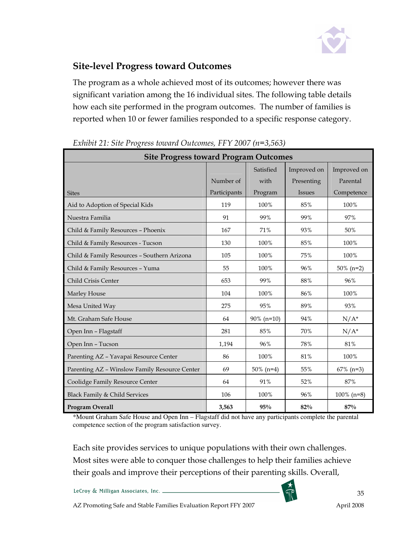

#### Site-level Progress toward Outcomes

The program as a whole achieved most of its outcomes; however there was significant variation among the 16 individual sites. The following table details how each site performed in the program outcomes. The number of families is reported when 10 or fewer families responded to a specific response category.

| <b>Site Progress toward Program Outcomes</b>  |              |               |               |               |
|-----------------------------------------------|--------------|---------------|---------------|---------------|
|                                               |              | Satisfied     | Improved on   | Improved on   |
|                                               | Number of    | with          | Presenting    | Parental      |
| <b>Sites</b>                                  | Participants | Program       | <b>Issues</b> | Competence    |
| Aid to Adoption of Special Kids               | 119          | 100%          | 85%           | 100%          |
| Nuestra Familia                               | 91           | 99%           | 99%           | 97%           |
| Child & Family Resources - Phoenix            | 167          | 71%           | 93%           | 50%           |
| Child & Family Resources - Tucson             | 130          | 100%          | 85%           | 100%          |
| Child & Family Resources - Southern Arizona   | 105          | 100%          | 75%           | 100%          |
| Child & Family Resources - Yuma               | 55           | 100%          | 96%           | $50\%$ (n=2)  |
| Child Crisis Center                           | 653          | 99%           | 88%           | 96%           |
| Marley House                                  | 104          | 100%          | 86%           | 100%          |
| Mesa United Way                               | 275          | 95%           | 89%           | 93%           |
| Mt. Graham Safe House                         | 64           | $90\%$ (n=10) | 94%           | $N/A^*$       |
| Open Inn - Flagstaff                          | 281          | 85%           | 70%           | $N/A^*$       |
| Open Inn - Tucson                             | 1,194        | 96%           | 78%           | 81%           |
| Parenting AZ - Yavapai Resource Center        | 86           | 100%          | 81%           | 100%          |
| Parenting AZ - Winslow Family Resource Center | 69           | $50\%$ (n=4)  | 55%           | $67\%$ (n=3)  |
| Coolidge Family Resource Center               | 64           | 91%           | 52%           | 87%           |
| Black Family & Child Services                 | 106          | 100%          | 96%           | $100\%$ (n=8) |
| <b>Program Overall</b>                        | 3,563        | 95%           | 82%           | 87%           |

Exhibit 21: Site Progress toward Outcomes, FFY 2007 (n=3,563)

\*Mount Graham Safe House and Open Inn – Flagstaff did not have any participants complete the parental competence section of the program satisfaction survey.

Each site provides services to unique populations with their own challenges. Most sites were able to conquer those challenges to help their families achieve their goals and improve their perceptions of their parenting skills. Overall,

LeCroy & Milligan Associates, Inc. \_

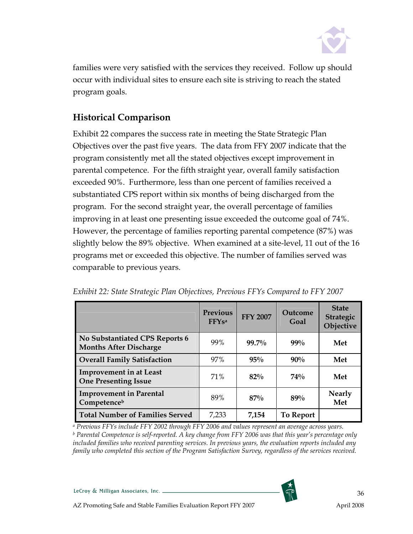

families were very satisfied with the services they received. Follow up should occur with individual sites to ensure each site is striving to reach the stated program goals.

#### Historical Comparison

Exhibit 22 compares the success rate in meeting the State Strategic Plan Objectives over the past five years. The data from FFY 2007 indicate that the program consistently met all the stated objectives except improvement in parental competence. For the fifth straight year, overall family satisfaction exceeded 90%. Furthermore, less than one percent of families received a substantiated CPS report within six months of being discharged from the program. For the second straight year, the overall percentage of families improving in at least one presenting issue exceeded the outcome goal of 74%. However, the percentage of families reporting parental competence (87%) was slightly below the 89% objective. When examined at a site-level, 11 out of the 16 programs met or exceeded this objective. The number of families served was comparable to previous years.

|                                                                 | <b>Previous</b><br><b>FFYsa</b> | <b>FFY 2007</b> | Outcome<br>Goal | <b>State</b><br><b>Strategic</b><br>Objective |
|-----------------------------------------------------------------|---------------------------------|-----------------|-----------------|-----------------------------------------------|
| No Substantiated CPS Reports 6<br><b>Months After Discharge</b> | 99%                             | 99.7%           | $99\%$          | Met                                           |
| <b>Overall Family Satisfaction</b>                              | 97%                             | $95\%$          | $90\%$          | Met                                           |
| <b>Improvement in at Least</b><br><b>One Presenting Issue</b>   | 71%                             | $82\%$          | 74%             | Met                                           |
| <b>Improvement in Parental</b><br>Competenceb                   | 89%                             | $87\%$          | 89%             | <b>Nearly</b><br>Met                          |
| <b>Total Number of Families Served</b>                          | 7,233                           | 7.154           | To Report       |                                               |

Exhibit 22: State Strategic Plan Objectives, Previous FFYs Compared to FFY 2007

a Previous FFYs include FFY 2002 through FFY 2006 and values represent an average across years.  $^{\rm b}$  Parental Competence is self-reported. A key change from FFY 2006 was that this year's percentage only included families who received parenting services. In previous years, the evaluation reports included any family who completed this section of the Program Satisfaction Survey, regardless of the services received.

LeCroy & Milligan Associates, Inc. \_

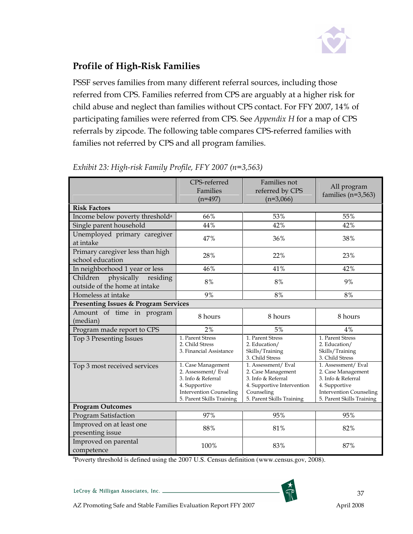

# Profile of High-Risk Families

PSSF serves families from many different referral sources, including those referred from CPS. Families referred from CPS are arguably at a higher risk for child abuse and neglect than families without CPS contact. For FFY 2007, 14% of participating families were referred from CPS. See Appendix H for a map of CPS referrals by zipcode. The following table compares CPS-referred families with families not referred by CPS and all program families.

|                                                               | CPS-referred<br>Families<br>$(n=497)$                                                                                                           | Families not<br>referred by CPS<br>$(n=3,066)$                                                                                          | All program<br>families ( $n=3,563$ )                                                                                                           |  |
|---------------------------------------------------------------|-------------------------------------------------------------------------------------------------------------------------------------------------|-----------------------------------------------------------------------------------------------------------------------------------------|-------------------------------------------------------------------------------------------------------------------------------------------------|--|
| <b>Risk Factors</b>                                           |                                                                                                                                                 |                                                                                                                                         |                                                                                                                                                 |  |
| Income below poverty threshold <sup>a</sup>                   | 66%                                                                                                                                             | 53%                                                                                                                                     | 55%                                                                                                                                             |  |
| Single parent household                                       | 44%                                                                                                                                             | 42%                                                                                                                                     | 42%                                                                                                                                             |  |
| Unemployed primary caregiver<br>at intake                     | 47%                                                                                                                                             | 36%                                                                                                                                     | 38%                                                                                                                                             |  |
| Primary caregiver less than high<br>school education          | 28%                                                                                                                                             | 22%                                                                                                                                     | 23%                                                                                                                                             |  |
| In neighborhood 1 year or less                                | 46%                                                                                                                                             | 41%                                                                                                                                     | 42%                                                                                                                                             |  |
| Children physically residing<br>outside of the home at intake | 8%                                                                                                                                              | $8\%$                                                                                                                                   | 9%                                                                                                                                              |  |
| Homeless at intake                                            | 9%                                                                                                                                              | 8%                                                                                                                                      | 8%                                                                                                                                              |  |
| <b>Presenting Issues &amp; Program Services</b>               |                                                                                                                                                 |                                                                                                                                         |                                                                                                                                                 |  |
| Amount of time in program<br>(median)                         | 8 hours                                                                                                                                         | 8 hours                                                                                                                                 | 8 hours                                                                                                                                         |  |
| Program made report to CPS                                    | 2%                                                                                                                                              | 5%                                                                                                                                      | 4%                                                                                                                                              |  |
| Top 3 Presenting Issues                                       | 1. Parent Stress<br>2. Child Stress<br>3. Financial Assistance                                                                                  | 1. Parent Stress<br>2. Education/<br>Skills/Training<br>3. Child Stress                                                                 | 1. Parent Stress<br>2. Education/<br>Skills/Training<br>3. Child Stress                                                                         |  |
| Top 3 most received services                                  | 1. Case Management<br>2. Assessment/ Eval<br>3. Info & Referral<br>4. Supportive<br><b>Intervention Counseling</b><br>5. Parent Skills Training | 1. Assessment/Eval<br>2. Case Management<br>3. Info & Referral<br>4. Supportive Intervention<br>Counseling<br>5. Parent Skills Training | 1. Assessment/ Eval<br>2. Case Management<br>3. Info & Referral<br>4. Supportive<br><b>Intervention Counseling</b><br>5. Parent Skills Training |  |
| <b>Program Outcomes</b>                                       |                                                                                                                                                 |                                                                                                                                         |                                                                                                                                                 |  |
| Program Satisfaction                                          | 97%                                                                                                                                             | 95%                                                                                                                                     | 95%                                                                                                                                             |  |
| Improved on at least one<br>presenting issue                  | 88%                                                                                                                                             | 81%                                                                                                                                     | 82%                                                                                                                                             |  |
| Improved on parental<br>competence                            | 100%                                                                                                                                            | 83%                                                                                                                                     | 87%                                                                                                                                             |  |

Exhibit 23: High-risk Family Profile, FFY 2007 (n=3,563)

<sup>a</sup> Poverty threshold is defined using the 2007 U.S. Census definition (www.census.gov, 2008).

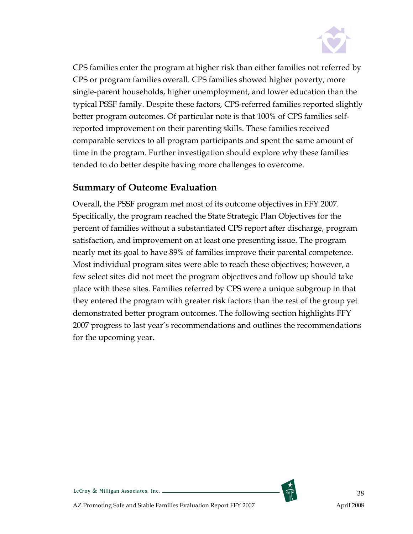

CPS families enter the program at higher risk than either families not referred by CPS or program families overall. CPS families showed higher poverty, more single-parent households, higher unemployment, and lower education than the typical PSSF family. Despite these factors, CPS-referred families reported slightly better program outcomes. Of particular note is that 100% of CPS families selfreported improvement on their parenting skills. These families received comparable services to all program participants and spent the same amount of time in the program. Further investigation should explore why these families tended to do better despite having more challenges to overcome.

### Summary of Outcome Evaluation

Overall, the PSSF program met most of its outcome objectives in FFY 2007. Specifically, the program reached the State Strategic Plan Objectives for the percent of families without a substantiated CPS report after discharge, program satisfaction, and improvement on at least one presenting issue. The program nearly met its goal to have 89% of families improve their parental competence. Most individual program sites were able to reach these objectives; however, a few select sites did not meet the program objectives and follow up should take place with these sites. Families referred by CPS were a unique subgroup in that they entered the program with greater risk factors than the rest of the group yet demonstrated better program outcomes. The following section highlights FFY 2007 progress to last year's recommendations and outlines the recommendations for the upcoming year.

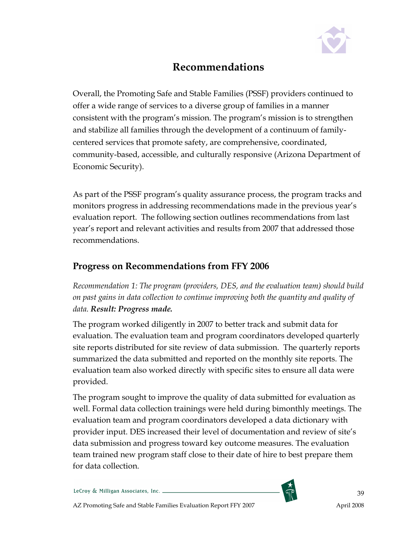

# Recommendations

Overall, the Promoting Safe and Stable Families (PSSF) providers continued to offer a wide range of services to a diverse group of families in a manner consistent with the program's mission. The program's mission is to strengthen and stabilize all families through the development of a continuum of familycentered services that promote safety, are comprehensive, coordinated, community-based, accessible, and culturally responsive (Arizona Department of Economic Security).

As part of the PSSF program's quality assurance process, the program tracks and monitors progress in addressing recommendations made in the previous year's evaluation report. The following section outlines recommendations from last year's report and relevant activities and results from 2007 that addressed those recommendations.

### Progress on Recommendations from FFY 2006

Recommendation 1: The program (providers, DES, and the evaluation team) should build on past gains in data collection to continue improving both the quantity and quality of data. Result: Progress made.

The program worked diligently in 2007 to better track and submit data for evaluation. The evaluation team and program coordinators developed quarterly site reports distributed for site review of data submission. The quarterly reports summarized the data submitted and reported on the monthly site reports. The evaluation team also worked directly with specific sites to ensure all data were provided.

The program sought to improve the quality of data submitted for evaluation as well. Formal data collection trainings were held during bimonthly meetings. The evaluation team and program coordinators developed a data dictionary with provider input. DES increased their level of documentation and review of site's data submission and progress toward key outcome measures. The evaluation team trained new program staff close to their date of hire to best prepare them for data collection.

LeCroy & Milligan Associates, Inc. \_



39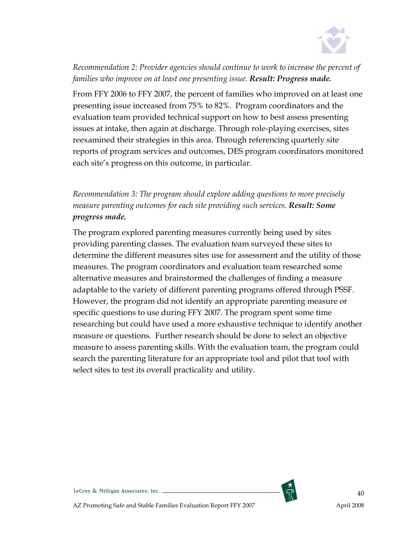

Recommendation 2: Provider agencies should continue to work to increase the percent of families who improve on at least one presenting issue. Result: Progress made.

From FFY 2006 to FFY 2007, the percent of families who improved on at least one presenting issue increased from 75% to 82%. Program coordinators and the evaluation team provided technical support on how to best assess presenting issues at intake, then again at discharge. Through role-playing exercises, sites reexamined their strategies in this area. Through referencing quarterly site reports of program services and outcomes, DES program coordinators monitored each site's progress on this outcome, in particular.

Recommendation 3: The program should explore adding questions to more precisely measure parenting outcomes for each site providing such services. Result: Some progress made.

The program explored parenting measures currently being used by sites providing parenting classes. The evaluation team surveyed these sites to determine the different measures sites use for assessment and the utility of those measures. The program coordinators and evaluation team researched some alternative measures and brainstormed the challenges of finding a measure adaptable to the variety of different parenting programs offered through PSSF. However, the program did not identify an appropriate parenting measure or specific questions to use during FFY 2007. The program spent some time researching but could have used a more exhaustive technique to identify another measure or questions. Further research should be done to select an objective measure to assess parenting skills. With the evaluation team, the program could search the parenting literature for an appropriate tool and pilot that tool with select sites to test its overall practicality and utility.

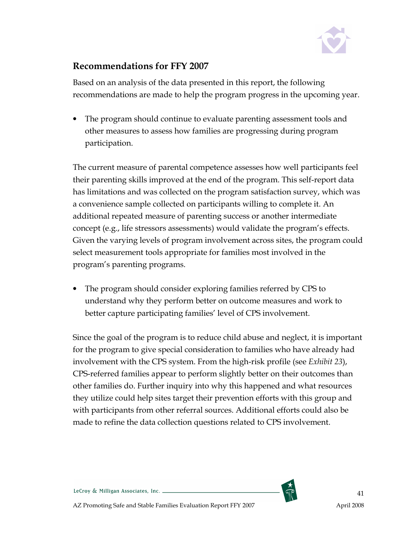

### Recommendations for FFY 2007

Based on an analysis of the data presented in this report, the following recommendations are made to help the program progress in the upcoming year.

• The program should continue to evaluate parenting assessment tools and other measures to assess how families are progressing during program participation.

The current measure of parental competence assesses how well participants feel their parenting skills improved at the end of the program. This self-report data has limitations and was collected on the program satisfaction survey, which was a convenience sample collected on participants willing to complete it. An additional repeated measure of parenting success or another intermediate concept (e.g., life stressors assessments) would validate the program's effects. Given the varying levels of program involvement across sites, the program could select measurement tools appropriate for families most involved in the program's parenting programs.

• The program should consider exploring families referred by CPS to understand why they perform better on outcome measures and work to better capture participating families' level of CPS involvement.

Since the goal of the program is to reduce child abuse and neglect, it is important for the program to give special consideration to families who have already had involvement with the CPS system. From the high-risk profile (see Exhibit 23), CPS-referred families appear to perform slightly better on their outcomes than other families do. Further inquiry into why this happened and what resources they utilize could help sites target their prevention efforts with this group and with participants from other referral sources. Additional efforts could also be made to refine the data collection questions related to CPS involvement.

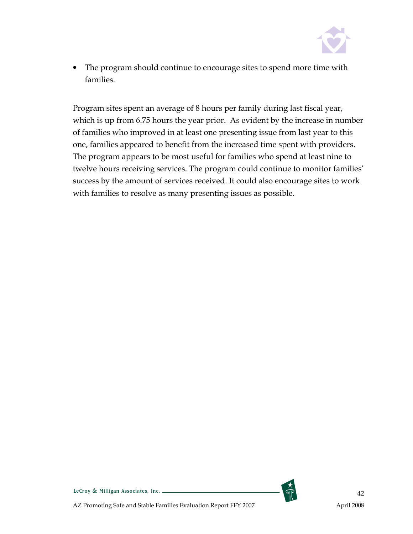

• The program should continue to encourage sites to spend more time with families.

Program sites spent an average of 8 hours per family during last fiscal year, which is up from 6.75 hours the year prior. As evident by the increase in number of families who improved in at least one presenting issue from last year to this one, families appeared to benefit from the increased time spent with providers. The program appears to be most useful for families who spend at least nine to twelve hours receiving services. The program could continue to monitor families' success by the amount of services received. It could also encourage sites to work with families to resolve as many presenting issues as possible.

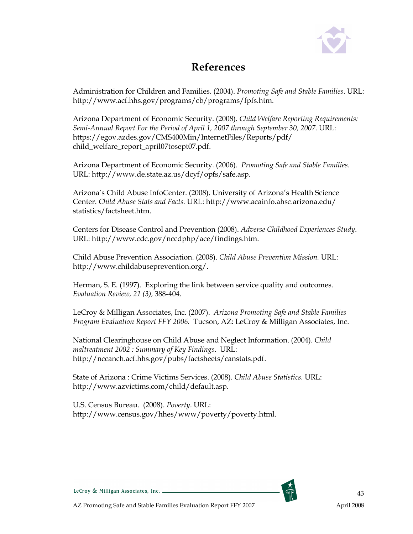

# References

Administration for Children and Families. (2004). Promoting Safe and Stable Families. URL: http://www.acf.hhs.gov/programs/cb/programs/fpfs.htm.

Arizona Department of Economic Security. (2008). Child Welfare Reporting Requirements: Semi-Annual Report For the Period of April 1, 2007 through September 30, 2007. URL: https://egov.azdes.gov/CMS400Min/InternetFiles/Reports/pdf/ child\_welfare\_report\_april07tosept07.pdf.

Arizona Department of Economic Security. (2006). Promoting Safe and Stable Families. URL: http://www.de.state.az.us/dcyf/opfs/safe.asp.

Arizona's Child Abuse InfoCenter. (2008). University of Arizona's Health Science Center. Child Abuse Stats and Facts. URL: http://www.acainfo.ahsc.arizona.edu/ statistics/factsheet.htm.

Centers for Disease Control and Prevention (2008). Adverse Childhood Experiences Study. URL: http://www.cdc.gov/nccdphp/ace/findings.htm.

Child Abuse Prevention Association. (2008). Child Abuse Prevention Mission. URL: http://www.childabuseprevention.org/.

Herman, S. E. (1997). Exploring the link between service quality and outcomes. Evaluation Review, 21 (3), 388-404.

LeCroy & Milligan Associates, Inc. (2007). Arizona Promoting Safe and Stable Families Program Evaluation Report FFY 2006. Tucson, AZ: LeCroy & Milligan Associates, Inc.

National Clearinghouse on Child Abuse and Neglect Information. (2004). Child maltreatment 2002 : Summary of Key Findings. URL: http://nccanch.acf.hhs.gov/pubs/factsheets/canstats.pdf.

State of Arizona : Crime Victims Services. (2008). Child Abuse Statistics. URL: http://www.azvictims.com/child/default.asp.

U.S. Census Bureau. (2008). Poverty. URL: http://www.census.gov/hhes/www/poverty/poverty.html.

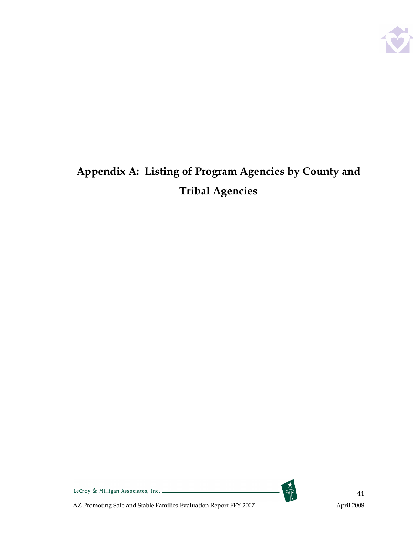

# Appendix A: Listing of Program Agencies by County and Tribal Agencies



LeCroy & Milligan Associates, Inc. \_\_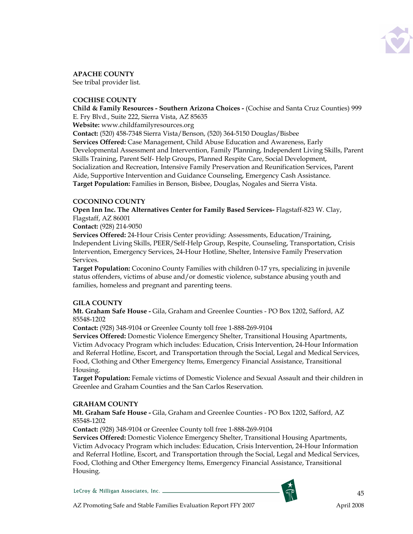

APACHE COUNTY

See tribal provider list.

### COCHISE COUNTY

Child & Family Resources - Southern Arizona Choices - (Cochise and Santa Cruz Counties) 999 E. Fry Blvd., Suite 222, Sierra Vista, AZ 85635

Website: www.childfamilyresources.org

Contact: (520) 458-7348 Sierra Vista/Benson, (520) 364-5150 Douglas/Bisbee

Services Offered: Case Management, Child Abuse Education and Awareness, Early Developmental Assessment and Intervention, Family Planning, Independent Living Skills, Parent Skills Training, Parent Self- Help Groups, Planned Respite Care, Social Development, Socialization and Recreation, Intensive Family Preservation and Reunification Services, Parent Aide, Supportive Intervention and Guidance Counseling, Emergency Cash Assistance. Target Population: Families in Benson, Bisbee, Douglas, Nogales and Sierra Vista.

### COCONINO COUNTY

Open Inn Inc. The Alternatives Center for Family Based Services- Flagstaff-823 W. Clay, Flagstaff, AZ 86001

Contact: (928) 214-9050

Services Offered: 24-Hour Crisis Center providing: Assessments, Education/Training, Independent Living Skills, PEER/Self-Help Group, Respite, Counseling, Transportation, Crisis Intervention, Emergency Services, 24-Hour Hotline, Shelter, Intensive Family Preservation Services.

Target Population: Coconino County Families with children 0-17 yrs, specializing in juvenile status offenders, victims of abuse and/or domestic violence, substance abusing youth and families, homeless and pregnant and parenting teens.

### GILA COUNTY

Mt. Graham Safe House - Gila, Graham and Greenlee Counties - PO Box 1202, Safford, AZ 85548-1202

Contact: (928) 348-9104 or Greenlee County toll free 1-888-269-9104

Services Offered: Domestic Violence Emergency Shelter, Transitional Housing Apartments, Victim Advocacy Program which includes: Education, Crisis Intervention, 24-Hour Information and Referral Hotline, Escort, and Transportation through the Social, Legal and Medical Services, Food, Clothing and Other Emergency Items, Emergency Financial Assistance, Transitional Housing.

Target Population: Female victims of Domestic Violence and Sexual Assault and their children in Greenlee and Graham Counties and the San Carlos Reservation.

### GRAHAM COUNTY

Mt. Graham Safe House - Gila, Graham and Greenlee Counties - PO Box 1202, Safford, AZ 85548-1202

Contact: (928) 348-9104 or Greenlee County toll free 1-888-269-9104

Services Offered: Domestic Violence Emergency Shelter, Transitional Housing Apartments, Victim Advocacy Program which includes: Education, Crisis Intervention, 24-Hour Information and Referral Hotline, Escort, and Transportation through the Social, Legal and Medical Services, Food, Clothing and Other Emergency Items, Emergency Financial Assistance, Transitional Housing.

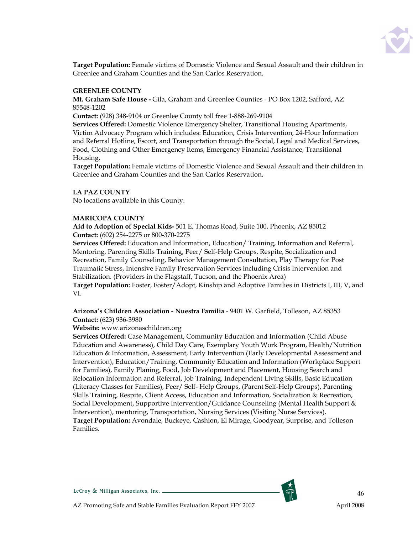

Target Population: Female victims of Domestic Violence and Sexual Assault and their children in Greenlee and Graham Counties and the San Carlos Reservation.

### GREENLEE COUNTY

Mt. Graham Safe House - Gila, Graham and Greenlee Counties - PO Box 1202, Safford, AZ 85548-1202

Contact: (928) 348-9104 or Greenlee County toll free 1-888-269-9104

Services Offered: Domestic Violence Emergency Shelter, Transitional Housing Apartments, Victim Advocacy Program which includes: Education, Crisis Intervention, 24-Hour Information and Referral Hotline, Escort, and Transportation through the Social, Legal and Medical Services, Food, Clothing and Other Emergency Items, Emergency Financial Assistance, Transitional Housing.

Target Population: Female victims of Domestic Violence and Sexual Assault and their children in Greenlee and Graham Counties and the San Carlos Reservation.

### LA PAZ COUNTY

No locations available in this County.

### MARICOPA COUNTY

Aid to Adoption of Special Kids- 501 E. Thomas Road, Suite 100, Phoenix, AZ 85012 Contact: (602) 254-2275 or 800-370-2275

Services Offered: Education and Information, Education/ Training, Information and Referral, Mentoring, Parenting Skills Training, Peer/ Self-Help Groups, Respite, Socialization and Recreation, Family Counseling, Behavior Management Consultation, Play Therapy for Post Traumatic Stress, Intensive Family Preservation Services including Crisis Intervention and Stabilization. (Providers in the Flagstaff, Tucson, and the Phoenix Area) Target Population: Foster, Foster/Adopt, Kinship and Adoptive Families in Districts I, III, V, and

VI.

### Arizona's Children Association - Nuestra Familia - 9401 W. Garfield, Tolleson, AZ 85353 Contact: (623) 936-3980

### Website: www.arizonaschildren.org

Services Offered: Case Management, Community Education and Information (Child Abuse Education and Awareness), Child Day Care, Exemplary Youth Work Program, Health/Nutrition Education & Information, Assessment, Early Intervention (Early Developmental Assessment and Intervention), Education/Training, Community Education and Information (Workplace Support for Families), Family Planing, Food, Job Development and Placement, Housing Search and Relocation Information and Referral, Job Training, Independent Living Skills, Basic Education (Literacy Classes for Families), Peer/ Self- Help Groups, (Parent Self-Help Groups), Parenting Skills Training, Respite, Client Access, Education and Information, Socialization & Recreation, Social Development, Supportive Intervention/Guidance Counseling (Mental Health Support & Intervention), mentoring, Transportation, Nursing Services (Visiting Nurse Services). Target Population: Avondale, Buckeye, Cashion, El Mirage, Goodyear, Surprise, and Tolleson Families.

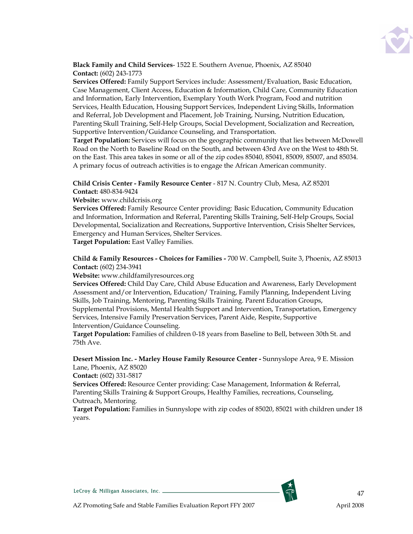

Black Family and Child Services- 1522 E. Southern Avenue, Phoenix, AZ 85040 Contact: (602) 243-1773

Services Offered: Family Support Services include: Assessment/Evaluation, Basic Education, Case Management, Client Access, Education & Information, Child Care, Community Education and Information, Early Intervention, Exemplary Youth Work Program, Food and nutrition Services, Health Education, Housing Support Services, Independent Living Skills, Information and Referral, Job Development and Placement, Job Training, Nursing, Nutrition Education, Parenting Skull Training, Self-Help Groups, Social Development, Socialization and Recreation, Supportive Intervention/Guidance Counseling, and Transportation.

Target Population: Services will focus on the geographic community that lies between McDowell Road on the North to Baseline Road on the South, and between 43rd Ave on the West to 48th St. on the East. This area takes in some or all of the zip codes 85040, 85041, 85009, 85007, and 85034. A primary focus of outreach activities is to engage the African American community.

### Child Crisis Center - Family Resource Center - 817 N. Country Club, Mesa, AZ 85201 Contact: 480-834-9424

### Website: www.childcrisis.org

Services Offered: Family Resource Center providing: Basic Education, Community Education and Information, Information and Referral, Parenting Skills Training, Self-Help Groups, Social Developmental, Socialization and Recreations, Supportive Intervention, Crisis Shelter Services, Emergency and Human Services, Shelter Services.

Target Population: East Valley Families.

Child & Family Resources - Choices for Families - 700 W. Campbell, Suite 3, Phoenix, AZ 85013 Contact: (602) 234-3941

Website: www.childfamilyresources.org

Services Offered: Child Day Care, Child Abuse Education and Awareness, Early Development Assessment and/or Intervention, Education/ Training, Family Planning, Independent Living Skills, Job Training, Mentoring, Parenting Skills Training. Parent Education Groups, Supplemental Provisions, Mental Health Support and Intervention, Transportation, Emergency Services, Intensive Family Preservation Services, Parent Aide, Respite, Supportive Intervention/Guidance Counseling.

Target Population: Families of children 0-18 years from Baseline to Bell, between 30th St. and 75th Ave.

### Desert Mission Inc. - Marley House Family Resource Center - Sunnyslope Area, 9 E. Mission Lane, Phoenix, AZ 85020

Contact: (602) 331-5817

Services Offered: Resource Center providing: Case Management, Information & Referral, Parenting Skills Training & Support Groups, Healthy Families, recreations, Counseling, Outreach, Mentoring.

Target Population: Families in Sunnyslope with zip codes of 85020, 85021 with children under 18 years.

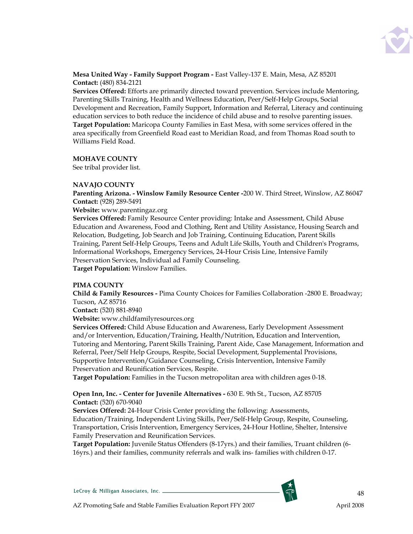

Mesa United Way - Family Support Program - East Valley-137 E. Main, Mesa, AZ 85201 Contact: (480) 834-2121

Services Offered: Efforts are primarily directed toward prevention. Services include Mentoring, Parenting Skills Training, Health and Wellness Education, Peer/Self-Help Groups, Social Development and Recreation, Family Support, Information and Referral, Literacy and continuing education services to both reduce the incidence of child abuse and to resolve parenting issues. Target Population: Maricopa County Families in East Mesa, with some services offered in the area specifically from Greenfield Road east to Meridian Road, and from Thomas Road south to Williams Field Road.

### MOHAVE COUNTY

See tribal provider list.

### NAVAJO COUNTY

Parenting Arizona. - Winslow Family Resource Center -200 W. Third Street, Winslow, AZ 86047 Contact: (928) 289-5491

### Website: www.parentingaz.org

Services Offered: Family Resource Center providing: Intake and Assessment, Child Abuse Education and Awareness, Food and Clothing, Rent and Utility Assistance, Housing Search and Relocation, Budgeting, Job Search and Job Training, Continuing Education, Parent Skills Training, Parent Self-Help Groups, Teens and Adult Life Skills, Youth and Children's Programs, Informational Workshops, Emergency Services, 24-Hour Crisis Line, Intensive Family Preservation Services, Individual ad Family Counseling. Target Population: Winslow Families.

### PIMA COUNTY

Child & Family Resources - Pima County Choices for Families Collaboration -2800 E. Broadway; Tucson, AZ 85716

Contact: (520) 881-8940

Website: www.childfamilyresources.org

Services Offered: Child Abuse Education and Awareness, Early Development Assessment and/or Intervention, Education/Training, Health/Nutrition, Education and Intervention, Tutoring and Mentoring, Parent Skills Training, Parent Aide, Case Management, Information and Referral, Peer/Self Help Groups, Respite, Social Development, Supplemental Provisions, Supportive Intervention/Guidance Counseling, Crisis Intervention, Intensive Family Preservation and Reunification Services, Respite.

Target Population: Families in the Tucson metropolitan area with children ages 0-18.

### Open Inn, Inc. - Center for Juvenile Alternatives - 630 E. 9th St., Tucson, AZ 85705 Contact: (520) 670-9040

Services Offered: 24-Hour Crisis Center providing the following: Assessments, Education/Training, Independent Living Skills, Peer/Self-Help Group, Respite, Counseling, Transportation, Crisis Intervention, Emergency Services, 24-Hour Hotline, Shelter, Intensive Family Preservation and Reunification Services.

Target Population: Juvenile Status Offenders (8-17yrs.) and their families, Truant children (6- 16yrs.) and their families, community referrals and walk ins- families with children 0-17.

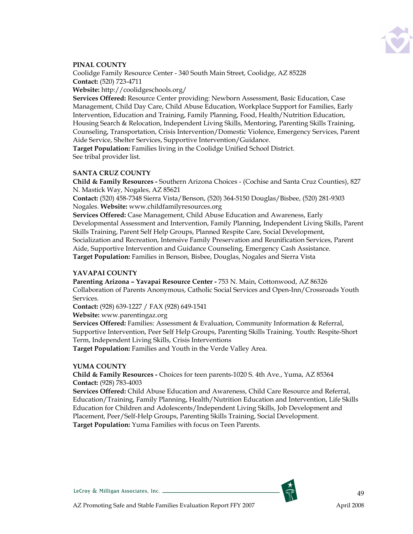

### PINAL COUNTY

Coolidge Family Resource Center - 340 South Main Street, Coolidge, AZ 85228 Contact: (520) 723-4711

Website: http://coolidgeschools.org/

Services Offered: Resource Center providing: Newborn Assessment, Basic Education, Case Management, Child Day Care, Child Abuse Education, Workplace Support for Families, Early Intervention, Education and Training, Family Planning, Food, Health/Nutrition Education, Housing Search & Relocation, Independent Living Skills, Mentoring, Parenting Skills Training, Counseling, Transportation, Crisis Intervention/Domestic Violence, Emergency Services, Parent Aide Service, Shelter Services, Supportive Intervention/Guidance.

Target Population: Families living in the Coolidge Unified School District. See tribal provider list.

### SANTA CRUZ COUNTY

Child & Family Resources - Southern Arizona Choices - (Cochise and Santa Cruz Counties), 827 N. Mastick Way, Nogales, AZ 85621

Contact: (520) 458-7348 Sierra Vista/Benson, (520) 364-5150 Douglas/Bisbee, (520) 281-9303 Nogales. Website: www.childfamilyresources.org

Services Offered: Case Management, Child Abuse Education and Awareness, Early Developmental Assessment and Intervention, Family Planning, Independent Living Skills, Parent Skills Training, Parent Self Help Groups, Planned Respite Care, Social Development, Socialization and Recreation, Intensive Family Preservation and Reunification Services, Parent Aide, Supportive Intervention and Guidance Counseling, Emergency Cash Assistance. Target Population: Families in Benson, Bisbee, Douglas, Nogales and Sierra Vista

### YAVAPAI COUNTY

Parenting Arizona – Yavapai Resource Center - 753 N. Main, Cottonwood, AZ 86326 Collaboration of Parents Anonymous, Catholic Social Services and Open-Inn/Crossroads Youth Services.

Contact: (928) 639-1227 / FAX (928) 649-1541

Website: www.parentingaz.org

Services Offered: Families: Assessment & Evaluation, Community Information & Referral, Supportive Intervention, Peer Self Help Groups, Parenting Skills Training. Youth: Respite-Short Term, Independent Living Skills, Crisis Interventions

Target Population: Families and Youth in the Verde Valley Area.

#### YUMA COUNTY

Child & Family Resources - Choices for teen parents-1020 S. 4th Ave., Yuma, AZ 85364 Contact: (928) 783-4003

Services Offered: Child Abuse Education and Awareness, Child Care Resource and Referral, Education/Training, Family Planning, Health/Nutrition Education and Intervention, Life Skills Education for Children and Adolescents/Independent Living Skills, Job Development and Placement, Peer/Self-Help Groups, Parenting Skills Training, Social Development. Target Population: Yuma Families with focus on Teen Parents.



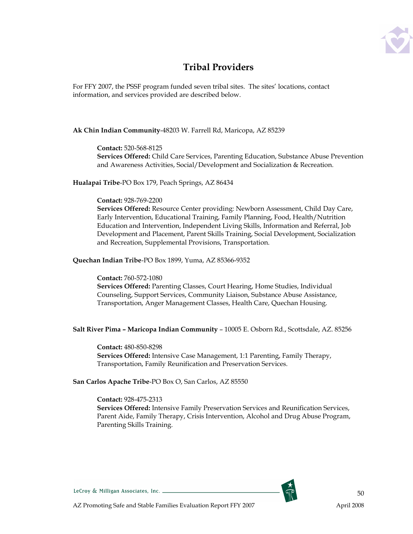

### Tribal Providers

For FFY 2007, the PSSF program funded seven tribal sites. The sites' locations, contact information, and services provided are described below.

### Ak Chin Indian Community-48203 W. Farrell Rd, Maricopa, AZ 85239

Contact: 520-568-8125

Services Offered: Child Care Services, Parenting Education, Substance Abuse Prevention and Awareness Activities, Social/Development and Socialization & Recreation.

Hualapai Tribe-PO Box 179, Peach Springs, AZ 86434

### Contact: 928-769-2200

Services Offered: Resource Center providing: Newborn Assessment, Child Day Care, Early Intervention, Educational Training, Family Planning, Food, Health/Nutrition Education and Intervention, Independent Living Skills, Information and Referral, Job Development and Placement, Parent Skills Training, Social Development, Socialization and Recreation, Supplemental Provisions, Transportation.

Quechan Indian Tribe-PO Box 1899, Yuma, AZ 85366-9352

Contact: 760-572-1080 Services Offered: Parenting Classes, Court Hearing, Home Studies, Individual Counseling, Support Services, Community Liaison, Substance Abuse Assistance, Transportation, Anger Management Classes, Health Care, Quechan Housing.

### Salt River Pima – Maricopa Indian Community – 10005 E. Osborn Rd., Scottsdale, AZ. 85256

Contact: 480-850-8298 Services Offered: Intensive Case Management, 1:1 Parenting, Family Therapy, Transportation, Family Reunification and Preservation Services.

San Carlos Apache Tribe-PO Box O, San Carlos, AZ 85550

### Contact: 928-475-2313

Services Offered: Intensive Family Preservation Services and Reunification Services, Parent Aide, Family Therapy, Crisis Intervention, Alcohol and Drug Abuse Program, Parenting Skills Training.

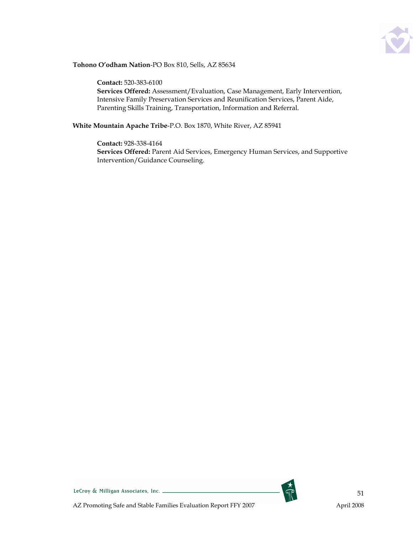

### Tohono O'odham Nation-PO Box 810, Sells, AZ 85634

Contact: 520-383-6100 Services Offered: Assessment/Evaluation, Case Management, Early Intervention, Intensive Family Preservation Services and Reunification Services, Parent Aide, Parenting Skills Training, Transportation, Information and Referral.

White Mountain Apache Tribe-P.O. Box 1870, White River, AZ 85941

Contact: 928-338-4164 Services Offered: Parent Aid Services, Emergency Human Services, and Supportive Intervention/Guidance Counseling.

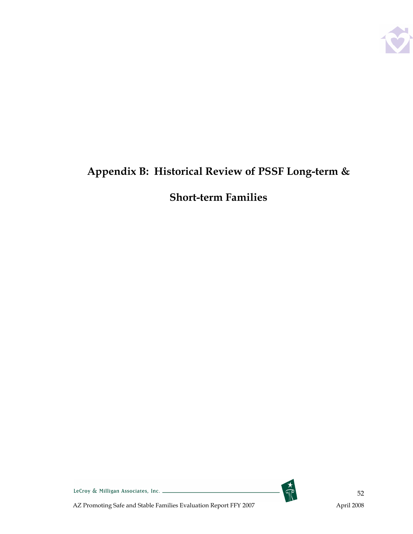

# Appendix B: Historical Review of PSSF Long-term &

# Short-term Families



LeCroy & Milligan Associates, Inc.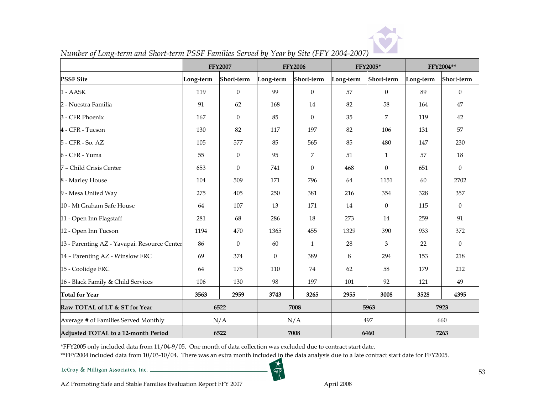

|                                              | <b>FFY2007</b><br><b>FFY2006</b> |                  | FFY2005*         |              | FFY2004** |                  |           |              |
|----------------------------------------------|----------------------------------|------------------|------------------|--------------|-----------|------------------|-----------|--------------|
| <b>PSSF Site</b>                             | Long-term                        | Short-term       | Long-term        | Short-term   | Long-term | Short-term       | Long-term | Short-term   |
| 1 - AASK                                     | 119                              | $\theta$         | 99               | $\Omega$     | 57        | $\Omega$         | 89        | $\Omega$     |
| 2 - Nuestra Familia                          | 91                               | 62               | 168              | 14           | 82        | 58               | 164       | 47           |
| 3 - CFR Phoenix                              | 167                              | $\boldsymbol{0}$ | 85               | $\theta$     | 35        | 7                | 119       | 42           |
| 4 - CFR - Tucson                             | 130                              | 82               | 117              | 197          | 82        | 106              | 131       | 57           |
| 5 - CFR - So. AZ                             | 105                              | 577              | 85               | 565          | 85        | 480              | 147       | 230          |
| 6 - CFR - Yuma                               | 55                               | $\theta$         | 95               | 7            | 51        | $\mathbf{1}$     | 57        | 18           |
| 7 - Child Crisis Center                      | 653                              | $\theta$         | 741              | $\Omega$     | 468       | $\mathbf{0}$     | 651       | $\Omega$     |
| 8 - Marley House                             | 104                              | 509              | 171              | 796          | 64        | 1151             | 60        | 2702         |
| 9 - Mesa United Way                          | 275                              | 405              | 250              | 381          | 216       | 354              | 328       | 357          |
| 10 - Mt Graham Safe House                    | 64                               | 107              | 13               | 171          | 14        | $\boldsymbol{0}$ | 115       | $\mathbf{0}$ |
| 11 - Open Inn Flagstaff                      | 281                              | 68               | 286              | 18           | 273       | $14\,$           | 259       | 91           |
| 12 - Open Inn Tucson                         | 1194                             | 470              | 1365             | 455          | 1329      | 390              | 933       | 372          |
| 13 - Parenting AZ - Yavapai. Resource Center | 86                               | $\boldsymbol{0}$ | 60               | $\mathbf{1}$ | 28        | 3                | 22        | $\Omega$     |
| 14 - Parenting AZ - Winslow FRC              | 69                               | 374              | $\boldsymbol{0}$ | 389          | 8         | 294              | 153       | 218          |
| 15 - Coolidge FRC                            | 64                               | 175              | 110              | 74           | 62        | 58               | 179       | 212          |
| 16 - Black Family & Child Services           | 106                              | 130              | 98               | 197          | 101       | 92               | 121       | 49           |
| <b>Total for Year</b>                        | 3563                             | 2959             | 3743             | 3265         | 2955      | 3008             | 3528      | 4395         |
| Raw TOTAL of LT & ST for Year                | 6522                             |                  | 7008             |              | 5963      |                  | 7923      |              |
| Average # of Families Served Monthly         |                                  | N/A              | N/A              |              | 497       |                  | 660       |              |
| Adjusted TOTAL to a 12-month Period          | 6522                             |                  | 7008             |              | 6460      |                  | 7263      |              |

### Number of Long-term and Short-term PSSF Families Served by Year by Site (FFY 2004-2007)

\*FFY2005 only included data from 11/04-9/05. One month of data collection was excluded due to contract start date.

\*\*FFY2004 included data from 10/03-10/04. There was an extra month included in the data analysis due to a late contract start date for FFY2005.

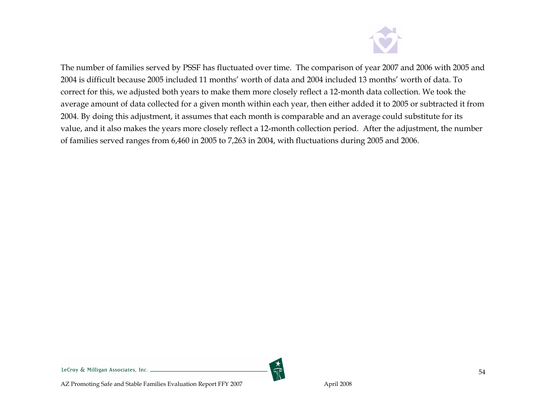

The number of families served by PSSF has fluctuated over time. The comparison of year 2007 and 2006 with 2005 and 2004 is difficult because 2005 included 11 months' worth of data and 2004 included 13 months' worth of data. To correct for this, we adjusted both years to make them more closely reflect a 12-month data collection. We took the average amount of data collected for a given month within each year, then either added it to 2005 or subtracted it from 2004. By doing this adjustment, it assumes that each month is comparable and an average could substitute for its value, and it also makes the years more closely reflect a 12-month collection period. After the adjustment, the number of families served ranges from 6,460 in 2005 to 7,263 in 2004, with fluctuations during 2005 and 2006.

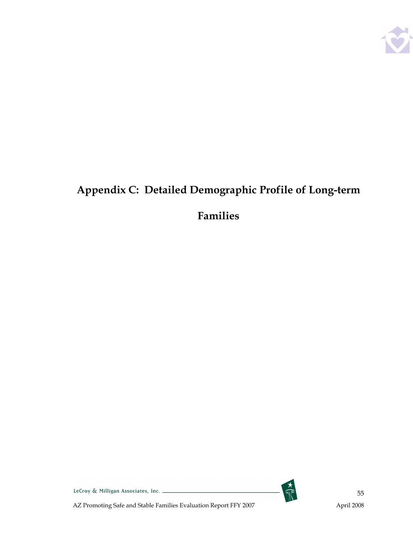

# Appendix C: Detailed Demographic Profile of Long-term

# Families



LeCroy & Milligan Associates, Inc. \_\_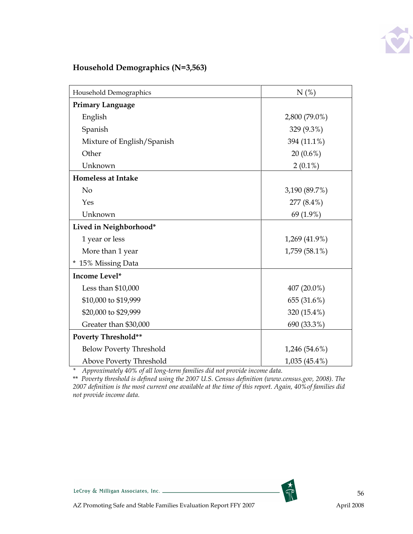

### Household Demographics (N=3,563)

| Household Demographics         | N(%)            |
|--------------------------------|-----------------|
| <b>Primary Language</b>        |                 |
| English                        | 2,800 (79.0%)   |
| Spanish                        | 329 (9.3%)      |
| Mixture of English/Spanish     | 394 (11.1%)     |
| Other                          | 20 (0.6%)       |
| Unknown                        | $2(0.1\%)$      |
| <b>Homeless at Intake</b>      |                 |
| N <sub>o</sub>                 | 3,190 (89.7%)   |
| Yes                            | 277 (8.4%)      |
| Unknown                        | 69 (1.9%)       |
| Lived in Neighborhood*         |                 |
| 1 year or less                 | 1,269 (41.9%)   |
| More than 1 year               | 1,759 (58.1%)   |
| * 15% Missing Data             |                 |
| Income Level*                  |                 |
| Less than \$10,000             | 407 (20.0%)     |
| \$10,000 to \$19,999           | 655 (31.6%)     |
| \$20,000 to \$29,999           | 320 (15.4%)     |
| Greater than \$30,000          | 690 (33.3%)     |
| <b>Poverty Threshold**</b>     |                 |
| <b>Below Poverty Threshold</b> | $1,246(54.6\%)$ |
| Above Poverty Threshold        | 1,035 (45.4%)   |

\* Approximately 40% of all long-term families did not provide income data.

\*\* Poverty threshold is defined using the 2007 U.S. Census definition (www.census.gov, 2008). The 2007 definition is the most current one available at the time of this report. Again, 40%of families did not provide income data.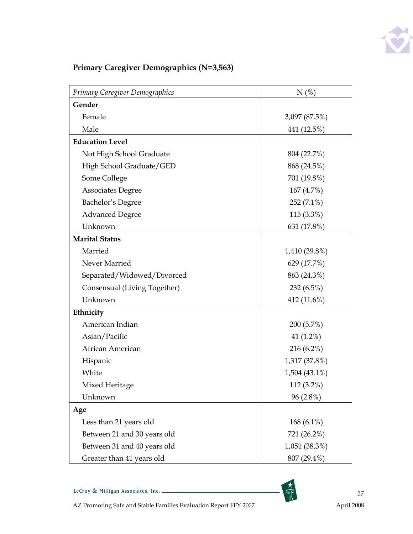

# Primary Caregiver Demographics (N=3,563)

| Primary Caregiver Demographics | N(%)          |
|--------------------------------|---------------|
| Gender                         |               |
| Female                         | 3,097 (87.5%) |
| Male                           | 441 (12.5%)   |
| <b>Education Level</b>         |               |
| Not High School Graduate       | 804 (22.7%)   |
| High School Graduate/GED       | 868 (24.5%)   |
| Some College                   | 701 (19.8%)   |
| <b>Associates Degree</b>       | 167(4.7%)     |
| Bachelor's Degree              | 252 (7.1%)    |
| <b>Advanced Degree</b>         | $115(3.3\%)$  |
| Unknown                        | 631 (17.8%)   |
| <b>Marital Status</b>          |               |
| Married                        | 1,410 (39.8%) |
| Never Married                  | 629 (17.7%)   |
| Separated/Widowed/Divorced     | 863 (24.3%)   |
| Consensual (Living Together)   | 232 (6.5%)    |
| Unknown                        | 412 (11.6%)   |
| Ethnicity                      |               |
| American Indian                | 200 (5.7%)    |
| Asian/Pacific                  | 41 (1.2%)     |
| African American               | 216 (6.2%)    |
| Hispanic                       | 1,317 (37.8%) |
| White                          | 1,504 (43.1%) |
| Mixed Heritage                 | 112 (3.2%)    |
| Unknown                        | $96(2.8\%)$   |
| Age                            |               |
| Less than 21 years old         | 168 $(6.1\%)$ |
| Between 21 and 30 years old    | 721 (26.2%)   |
| Between 31 and 40 years old    | 1,051 (38.3%) |
| Greater than 41 years old      | 807 (29.4%)   |

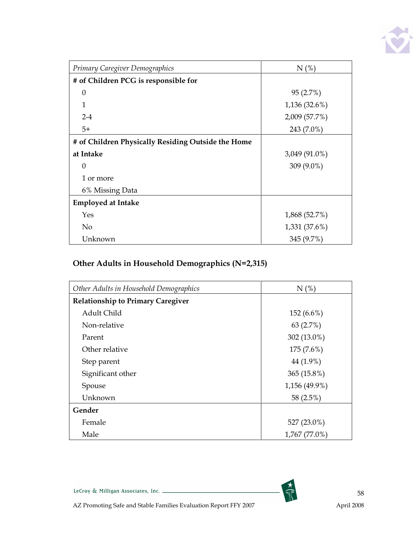

| Primary Caregiver Demographics                     | N(%)          |
|----------------------------------------------------|---------------|
| # of Children PCG is responsible for               |               |
| $\theta$                                           | 95 (2.7%)     |
| 1                                                  | 1,136 (32.6%) |
| $2 - 4$                                            | 2,009 (57.7%) |
| $5+$                                               | 243 (7.0%)    |
| # of Children Physically Residing Outside the Home |               |
| at Intake                                          | 3,049 (91.0%) |
| $\Omega$                                           | 309 (9.0%)    |
| 1 or more                                          |               |
| 6% Missing Data                                    |               |
| <b>Employed at Intake</b>                          |               |
| Yes                                                | 1,868 (52.7%) |
| N <sub>o</sub>                                     | 1,331 (37.6%) |
| Unknown                                            | 345 (9.7%)    |

# Other Adults in Household Demographics (N=2,315)

| Other Adults in Household Demographics   | N(%)          |
|------------------------------------------|---------------|
| <b>Relationship to Primary Caregiver</b> |               |
| Adult Child                              | $152(6.6\%)$  |
| Non-relative                             | 63 $(2.7%)$   |
| Parent                                   | 302 (13.0%)   |
| Other relative                           | 175 (7.6%)    |
| Step parent                              | 44 (1.9%)     |
| Significant other                        | 365 (15.8%)   |
| Spouse                                   | 1,156 (49.9%) |
| Unknown                                  | 58 (2.5%)     |
| Gender                                   |               |
| Female                                   | 527 (23.0%)   |
| Male                                     | 1,767 (77.0%) |

 $\frac{1}{\sqrt{2}}$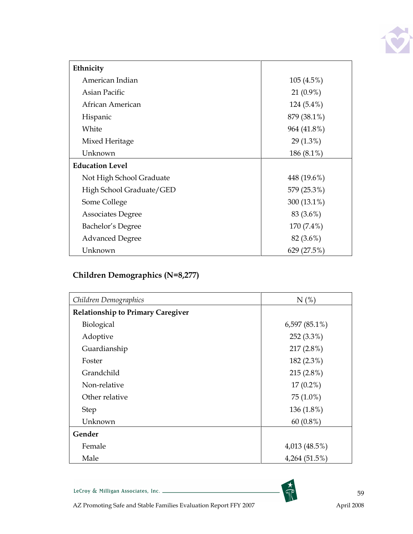

| Ethnicity                |             |
|--------------------------|-------------|
| American Indian          | 105(4.5%)   |
| Asian Pacific            | $21(0.9\%)$ |
| African American         | 124 (5.4%)  |
| Hispanic                 | 879 (38.1%) |
| White                    | 964 (41.8%) |
| Mixed Heritage           | $29(1.3\%)$ |
| Unknown                  | 186 (8.1%)  |
| <b>Education Level</b>   |             |
| Not High School Graduate | 448 (19.6%) |
| High School Graduate/GED | 579 (25.3%) |
| Some College             | 300 (13.1%) |
| <b>Associates Degree</b> | 83 (3.6%)   |
| Bachelor's Degree        | 170 (7.4%)  |
| <b>Advanced Degree</b>   | 82 (3.6%)   |
| Unknown                  | 629 (27.5%) |

# Children Demographics (N=8,277)

| Children Demographics                    | N(%)             |
|------------------------------------------|------------------|
| <b>Relationship to Primary Caregiver</b> |                  |
| <b>Biological</b>                        | 6,597 $(85.1\%)$ |
| Adoptive                                 | 252 (3.3%)       |
| Guardianship                             | 217 (2.8%)       |
| Foster                                   | 182 (2.3%)       |
| Grandchild                               | 215 (2.8%)       |
| Non-relative                             | $17(0.2\%)$      |
| Other relative                           | 75 (1.0%)        |
| <b>Step</b>                              | 136 (1.8%)       |
| Unknown                                  | 60 $(0.8\%)$     |
| Gender                                   |                  |
| Female                                   | 4,013 (48.5%)    |
| Male                                     | 4,264 (51.5%)    |

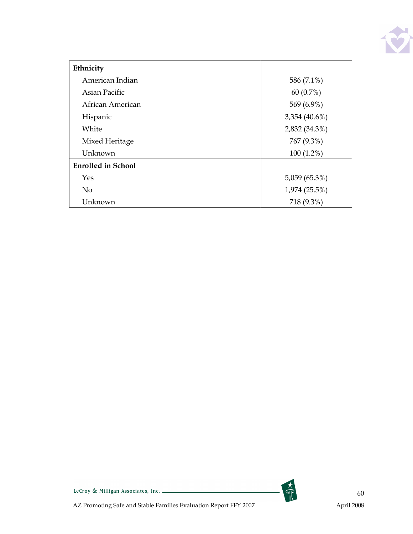

| Ethnicity                 |               |
|---------------------------|---------------|
| American Indian           | 586 (7.1%)    |
| Asian Pacific             | 60 $(0.7%)$   |
| African American          | 569 (6.9%)    |
| Hispanic                  | 3,354 (40.6%) |
| White                     | 2,832 (34.3%) |
| Mixed Heritage            | 767 (9.3%)    |
| Unknown                   | $100(1.2\%)$  |
| <b>Enrolled in School</b> |               |
| Yes                       | 5,059 (65.3%) |
| N <sub>o</sub>            | 1,974 (25.5%) |
| Unknown                   | 718 (9.3%)    |



LeCroy & Milligan Associates, Inc.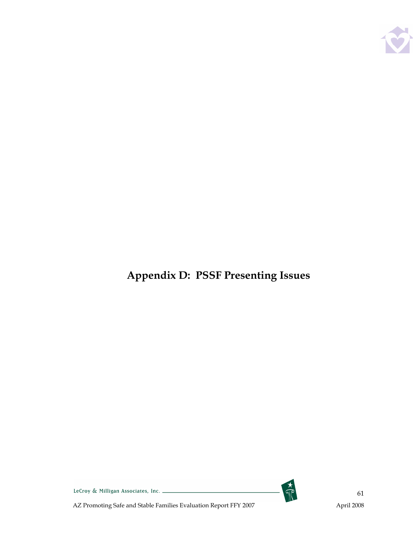

Appendix D: PSSF Presenting Issues



LeCroy & Milligan Associates, Inc. \_\_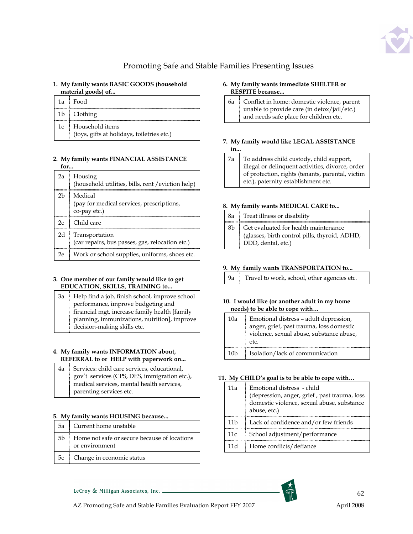

### Promoting Safe and Stable Families Presenting Issues

#### 1. My family wants BASIC GOODS (household material goods) of...

| 1a Food                                                          |
|------------------------------------------------------------------|
| 1b Clothing                                                      |
| 1c Household items<br>(toys, gifts at holidays, toiletries etc.) |

#### 2. My family wants FINANCIAL ASSISTANCE for...

| 2a             | Housing<br>(household utilities, bills, rent / eviction help)        |
|----------------|----------------------------------------------------------------------|
| 2 <sub>b</sub> | Medical<br>(pay for medical services, prescriptions,<br>co-pay etc.) |
| 2c             | Child care                                                           |
| 2d             | Transportation<br>(car repairs, bus passes, gas, relocation etc.)    |
| 2e             | Work or school supplies, uniforms, shoes etc.                        |

#### 3. One member of our family would like to get EDUCATION, SKILLS, TRAINING to...

3a Help find a job, finish school, improve school performance, improve budgeting and financial mgt, increase family health [family planning, immunizations, nutrition], improve decision-making skills etc.

### 4. My family wants INFORMATION about, REFERRAL to or HELP with paperwork on...

4a Services: child care services, educational, gov't services (CPS, DES, immigration etc.), medical services, mental health services, parenting services etc.

### 5. My family wants HOUSING because...

| 5a Current home unstable                                            |
|---------------------------------------------------------------------|
| 5b : Home not safe or secure because of locations<br>or environment |
| 5c Change in economic status                                        |

#### 6. My family wants immediate SHELTER or RESPITE because...

6a Conflict in home: domestic violence, parent unable to provide care (in detox/jail/etc.) and needs safe place for children etc.

### 7. My family would like LEGAL ASSISTANCE

- in.
- 7a To address child custody, child support, illegal or delinquent activities, divorce, order of protection, rights (tenants, parental, victim etc.), paternity establishment etc.

### 8. My family wants MEDICAL CARE to...

|    | 8a : Treat illness or disability                                                                            |
|----|-------------------------------------------------------------------------------------------------------------|
| 8b | Get evaluated for health maintenance<br>(glasses, birth control pills, thyroid, ADHD,<br>DDD, dental, etc.) |

### 9. My family wants TRANSPORTATION to...

|  | 9a Travel to work, school, other agencies etc. |
|--|------------------------------------------------|
|  |                                                |
|  |                                                |
|  |                                                |

#### 10. I would like (or another adult in my home needs) to be able to cope with…

| 10a             | Emotional distress - adult depression,<br>anger, grief, past trauma, loss domestic<br>violence, sexual abuse, substance abuse, |  |
|-----------------|--------------------------------------------------------------------------------------------------------------------------------|--|
|                 | etc.                                                                                                                           |  |
| 10 <sub>b</sub> | Isolation/lack of communication                                                                                                |  |

### 11. My CHILD's goal is to be able to cope with…

| 11а  | Emotional distress - child<br>(depression, anger, grief, past trauma, loss<br>domestic violence, sexual abuse, substance<br>abuse, etc.) |  |
|------|------------------------------------------------------------------------------------------------------------------------------------------|--|
| 11 h | Lack of confidence and/or few friends                                                                                                    |  |
| 11c  | School adjustment/performance                                                                                                            |  |
| 11 d | Home conflicts/defiance                                                                                                                  |  |



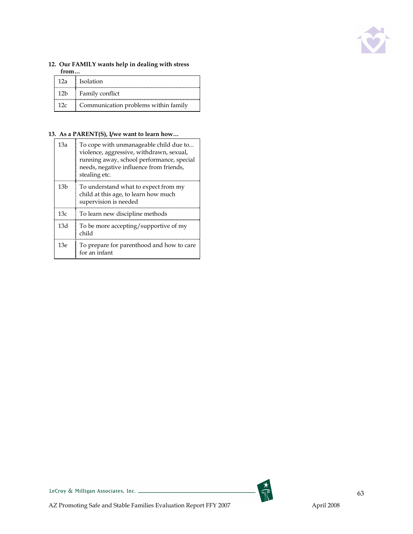

### 12. Our FAMILY wants help in dealing with stress from…

|     | 12a Isolation                        |
|-----|--------------------------------------|
| 12b | Family conflict                      |
| 12c | Communication problems within family |

### 13. As a PARENT(S), I/we want to learn how…

| 13a | To cope with unmanageable child due to<br>violence, aggressive, withdrawn, sexual,<br>running away, school performance, special<br>needs, negative influence from friends,<br>stealing etc. |
|-----|---------------------------------------------------------------------------------------------------------------------------------------------------------------------------------------------|
| 13b | To understand what to expect from my<br>child at this age, to learn how much<br>supervision is needed                                                                                       |
| 13c | To learn new discipline methods                                                                                                                                                             |
| 13d | To be more accepting/supportive of my<br>child                                                                                                                                              |
| 13e | To prepare for parenthood and how to care<br>for an infant                                                                                                                                  |

LeCroy & Milligan Associates, Inc.

 $\frac{1}{\sqrt{2}}$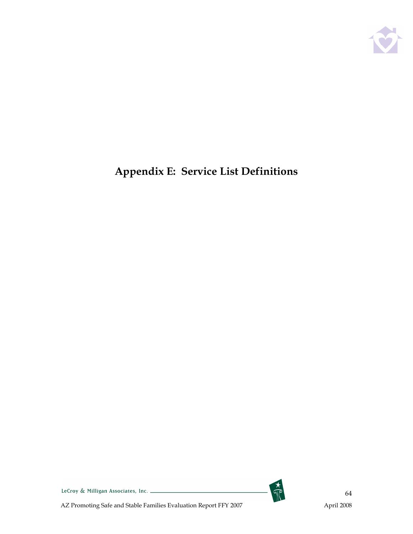

# Appendix E: Service List Definitions



LeCroy & Milligan Associates, Inc.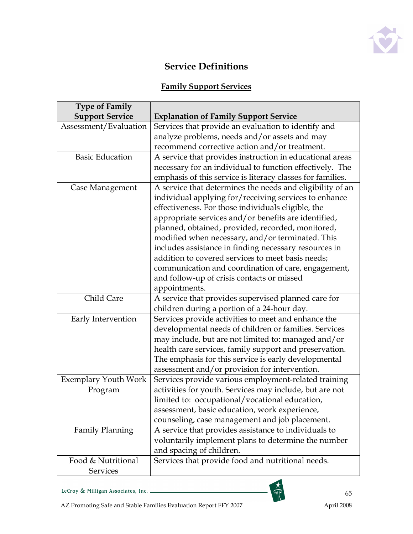

### Service Definitions

# Family Support Services

| <b>Type of Family</b>       |                                                            |
|-----------------------------|------------------------------------------------------------|
| <b>Support Service</b>      | <b>Explanation of Family Support Service</b>               |
| Assessment/Evaluation       | Services that provide an evaluation to identify and        |
|                             | analyze problems, needs and/or assets and may              |
|                             | recommend corrective action and/or treatment.              |
| <b>Basic Education</b>      | A service that provides instruction in educational areas   |
|                             | necessary for an individual to function effectively. The   |
|                             | emphasis of this service is literacy classes for families. |
| Case Management             | A service that determines the needs and eligibility of an  |
|                             | individual applying for/receiving services to enhance      |
|                             | effectiveness. For those individuals eligible, the         |
|                             | appropriate services and/or benefits are identified,       |
|                             | planned, obtained, provided, recorded, monitored,          |
|                             | modified when necessary, and/or terminated. This           |
|                             | includes assistance in finding necessary resources in      |
|                             | addition to covered services to meet basis needs;          |
|                             | communication and coordination of care, engagement,        |
|                             | and follow-up of crisis contacts or missed                 |
|                             | appointments.                                              |
| Child Care                  | A service that provides supervised planned care for        |
|                             | children during a portion of a 24-hour day.                |
| Early Intervention          | Services provide activities to meet and enhance the        |
|                             | developmental needs of children or families. Services      |
|                             | may include, but are not limited to: managed and/or        |
|                             | health care services, family support and preservation.     |
|                             | The emphasis for this service is early developmental       |
|                             | assessment and/or provision for intervention.              |
| <b>Exemplary Youth Work</b> | Services provide various employment-related training       |
| Program                     | activities for youth. Services may include, but are not    |
|                             | limited to: occupational/vocational education,             |
|                             | assessment, basic education, work experience,              |
|                             | counseling, case management and job placement.             |
| <b>Family Planning</b>      | A service that provides assistance to individuals to       |
|                             | voluntarily implement plans to determine the number        |
|                             | and spacing of children.                                   |
| Food & Nutritional          | Services that provide food and nutritional needs.          |
| <b>Services</b>             |                                                            |

LeCroy & Milligan Associates, Inc.



 $\frac{1}{\sqrt{2}}$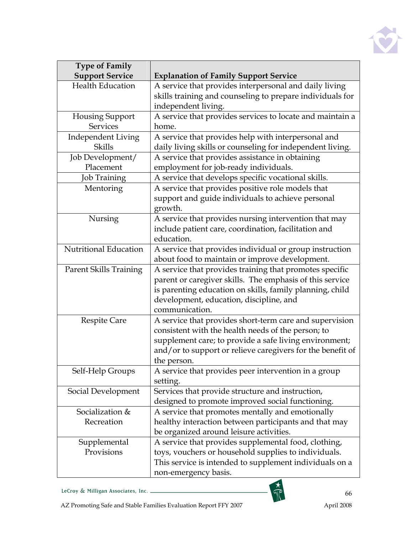

| <b>Type of Family</b>         |                                                            |  |
|-------------------------------|------------------------------------------------------------|--|
| <b>Support Service</b>        | <b>Explanation of Family Support Service</b>               |  |
| <b>Health Education</b>       | A service that provides interpersonal and daily living     |  |
|                               | skills training and counseling to prepare individuals for  |  |
|                               | independent living.                                        |  |
| Housing Support               | A service that provides services to locate and maintain a  |  |
| <b>Services</b>               | home.                                                      |  |
| <b>Independent Living</b>     | A service that provides help with interpersonal and        |  |
| Skills                        | daily living skills or counseling for independent living.  |  |
| Job Development/              | A service that provides assistance in obtaining            |  |
| Placement                     | employment for job-ready individuals.                      |  |
| Job Training                  | A service that develops specific vocational skills.        |  |
| Mentoring                     | A service that provides positive role models that          |  |
|                               | support and guide individuals to achieve personal          |  |
|                               | growth.                                                    |  |
| Nursing                       | A service that provides nursing intervention that may      |  |
|                               | include patient care, coordination, facilitation and       |  |
|                               | education.                                                 |  |
| Nutritional Education         | A service that provides individual or group instruction    |  |
|                               | about food to maintain or improve development.             |  |
| <b>Parent Skills Training</b> | A service that provides training that promotes specific    |  |
|                               | parent or caregiver skills. The emphasis of this service   |  |
|                               | is parenting education on skills, family planning, child   |  |
|                               | development, education, discipline, and                    |  |
|                               | communication.                                             |  |
| <b>Respite Care</b>           | A service that provides short-term care and supervision    |  |
|                               | consistent with the health needs of the person; to         |  |
|                               | supplement care; to provide a safe living environment;     |  |
|                               | and/or to support or relieve caregivers for the benefit of |  |
|                               | the person.                                                |  |
| Self-Help Groups              | A service that provides peer intervention in a group       |  |
|                               | setting.                                                   |  |
| Social Development            | Services that provide structure and instruction,           |  |
|                               | designed to promote improved social functioning.           |  |
| Socialization &               | A service that promotes mentally and emotionally           |  |
| Recreation                    | healthy interaction between participants and that may      |  |
|                               | be organized around leisure activities.                    |  |
| Supplemental                  | A service that provides supplemental food, clothing,       |  |
| Provisions                    | toys, vouchers or household supplies to individuals.       |  |
|                               | This service is intended to supplement individuals on a    |  |
|                               | non-emergency basis.                                       |  |

LeCroy & Milligan Associates, Inc.



FOR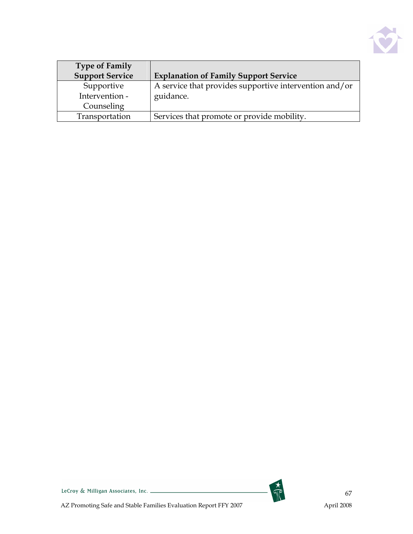

| <b>Type of Family</b>  |                                                        |
|------------------------|--------------------------------------------------------|
| <b>Support Service</b> | <b>Explanation of Family Support Service</b>           |
| Supportive             | A service that provides supportive intervention and/or |
| Intervention -         | guidance.                                              |
| Counseling             |                                                        |
| Transportation         | Services that promote or provide mobility.             |





67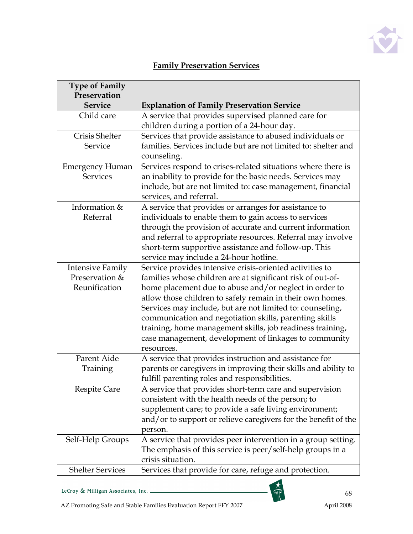

# Family Preservation Services

| <b>Type of Family</b>   |                                                                |
|-------------------------|----------------------------------------------------------------|
| Preservation            |                                                                |
| <b>Service</b>          | <b>Explanation of Family Preservation Service</b>              |
| Child care              | A service that provides supervised planned care for            |
|                         | children during a portion of a 24-hour day.                    |
| Crisis Shelter          | Services that provide assistance to abused individuals or      |
| Service                 | families. Services include but are not limited to: shelter and |
|                         | counseling.                                                    |
| <b>Emergency Human</b>  | Services respond to crises-related situations where there is   |
| <b>Services</b>         | an inability to provide for the basic needs. Services may      |
|                         | include, but are not limited to: case management, financial    |
|                         | services, and referral.                                        |
| Information &           | A service that provides or arranges for assistance to          |
| Referral                | individuals to enable them to gain access to services          |
|                         | through the provision of accurate and current information      |
|                         | and referral to appropriate resources. Referral may involve    |
|                         | short-term supportive assistance and follow-up. This           |
|                         | service may include a 24-hour hotline.                         |
| <b>Intensive Family</b> | Service provides intensive crisis-oriented activities to       |
| Preservation &          | families whose children are at significant risk of out-of-     |
| Reunification           | home placement due to abuse and/or neglect in order to         |
|                         | allow those children to safely remain in their own homes.      |
|                         | Services may include, but are not limited to: counseling,      |
|                         | communication and negotiation skills, parenting skills         |
|                         | training, home management skills, job readiness training,      |
|                         | case management, development of linkages to community          |
|                         | resources.                                                     |
| Parent Aide             | A service that provides instruction and assistance for         |
| Training                | parents or caregivers in improving their skills and ability to |
|                         | fulfill parenting roles and responsibilities.                  |
| <b>Respite Care</b>     | A service that provides short-term care and supervision        |
|                         | consistent with the health needs of the person; to             |
|                         | supplement care; to provide a safe living environment;         |
|                         | and/or to support or relieve caregivers for the benefit of the |
|                         | person.                                                        |
| Self-Help Groups        | A service that provides peer intervention in a group setting.  |
|                         | The emphasis of this service is peer/self-help groups in a     |
|                         | crisis situation.                                              |
| <b>Shelter Services</b> | Services that provide for care, refuge and protection.         |



H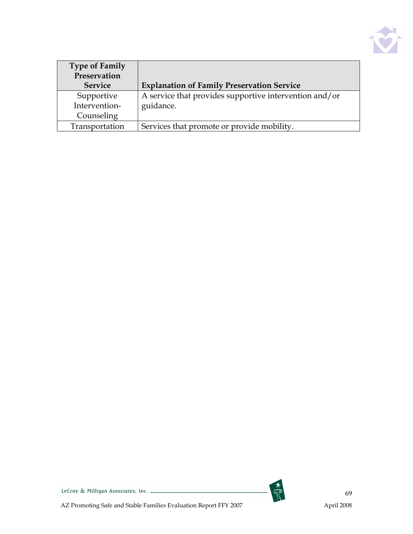

| <b>Type of Family</b> |                                                        |
|-----------------------|--------------------------------------------------------|
| Preservation          |                                                        |
| <b>Service</b>        | <b>Explanation of Family Preservation Service</b>      |
| Supportive            | A service that provides supportive intervention and/or |
| Intervention-         | guidance.                                              |
| Counseling            |                                                        |
| Transportation        | Services that promote or provide mobility.             |

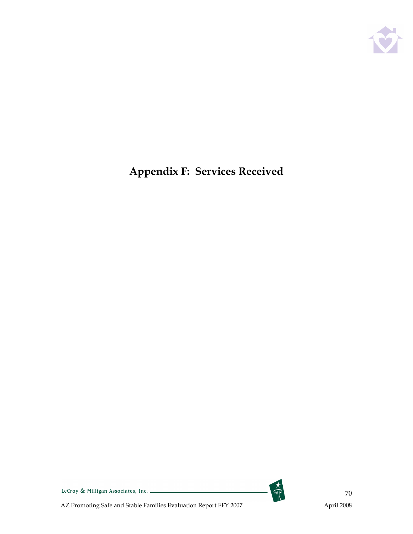

# Appendix F: Services Received



LeCroy & Milligan Associates, Inc.

AZ Promoting Safe and Stable Families Evaluation Report FFY 2007 April 2008

70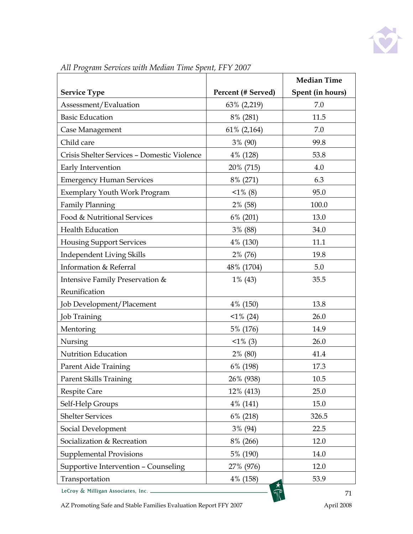

|                                             |                    | <b>Median Time</b> |
|---------------------------------------------|--------------------|--------------------|
| <b>Service Type</b>                         | Percent (# Served) | Spent (in hours)   |
| Assessment/Evaluation                       | 63% (2,219)        | 7.0                |
| <b>Basic Education</b>                      | 8% (281)           | 11.5               |
| Case Management                             | 61% (2,164)        | 7.0                |
| Child care                                  | 3% (90)            | 99.8               |
| Crisis Shelter Services - Domestic Violence | 4% (128)           | 53.8               |
| Early Intervention                          | 20% (715)          | 4.0                |
| <b>Emergency Human Services</b>             | 8% (271)           | 6.3                |
| <b>Exemplary Youth Work Program</b>         | $1\%$ (8)          | 95.0               |
| <b>Family Planning</b>                      | 2% (58)            | 100.0              |
| Food & Nutritional Services                 | $6\%$ (201)        | 13.0               |
| Health Education                            | 3% (88)            | 34.0               |
| <b>Housing Support Services</b>             | 4% (130)           | 11.1               |
| Independent Living Skills                   | 2% (76)            | 19.8               |
| Information & Referral                      | 48% (1704)         | 5.0                |
| Intensive Family Preservation &             | $1\%$ (43)         | 35.5               |
| Reunification                               |                    |                    |
| Job Development/Placement                   | 4% (150)           | 13.8               |
| Job Training                                | $<1\%$ (24)        | 26.0               |
| Mentoring                                   | 5% (176)           | 14.9               |
| Nursing                                     | $1\%$ (3)          | 26.0               |
| Nutrition Education                         | 2% (80)            | 41.4               |
| Parent Aide Training                        | 6% (198)           | 17.3               |
| <b>Parent Skills Training</b>               | 26% (938)          | 10.5               |
| <b>Respite Care</b>                         | 12% (413)          | 25.0               |
| Self-Help Groups                            | 4% (141)           | 15.0               |
| <b>Shelter Services</b>                     | 6% (218)           | 326.5              |
| Social Development                          | 3% (94)            | 22.5               |
| Socialization & Recreation                  | 8% (266)           | 12.0               |
| <b>Supplemental Provisions</b>              | 5% (190)           | 14.0               |
| Supportive Intervention - Counseling        | 27% (976)          | 12.0               |
| Transportation                              | 4% (158)           | 53.9               |
| LeCroy & Milligan Associates, Inc. .        |                    | 71                 |

All Program Services with Median Time Spent, FFY 2007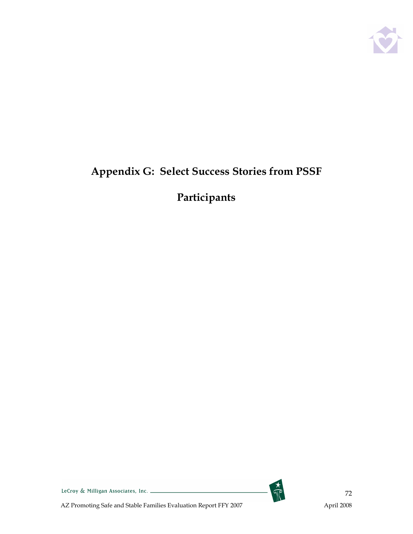

# Appendix G: Select Success Stories from PSSF

# Participants

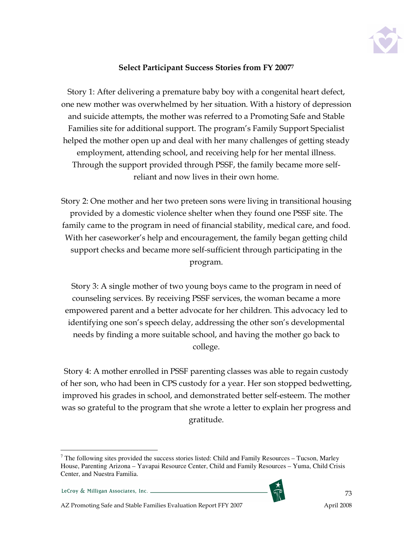

## Select Participant Success Stories from FY 2007<sup>7</sup>

Story 1: After delivering a premature baby boy with a congenital heart defect, one new mother was overwhelmed by her situation. With a history of depression and suicide attempts, the mother was referred to a Promoting Safe and Stable Families site for additional support. The program's Family Support Specialist helped the mother open up and deal with her many challenges of getting steady employment, attending school, and receiving help for her mental illness. Through the support provided through PSSF, the family became more selfreliant and now lives in their own home.

Story 2: One mother and her two preteen sons were living in transitional housing provided by a domestic violence shelter when they found one PSSF site. The family came to the program in need of financial stability, medical care, and food. With her caseworker's help and encouragement, the family began getting child support checks and became more self-sufficient through participating in the program.

Story 3: A single mother of two young boys came to the program in need of counseling services. By receiving PSSF services, the woman became a more empowered parent and a better advocate for her children. This advocacy led to identifying one son's speech delay, addressing the other son's developmental needs by finding a more suitable school, and having the mother go back to college.

Story 4: A mother enrolled in PSSF parenting classes was able to regain custody of her son, who had been in CPS custody for a year. Her son stopped bedwetting, improved his grades in school, and demonstrated better self-esteem. The mother was so grateful to the program that she wrote a letter to explain her progress and gratitude.

 $\overline{a}$ 



 $<sup>7</sup>$  The following sites provided the success stories listed: Child and Family Resources – Tucson, Marley</sup> House, Parenting Arizona – Yavapai Resource Center, Child and Family Resources – Yuma, Child Crisis Center, and Nuestra Familia.

LeCroy & Milligan Associates, Inc. \_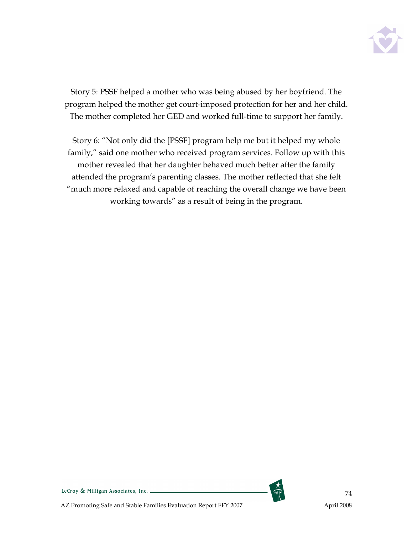

Story 5: PSSF helped a mother who was being abused by her boyfriend. The program helped the mother get court-imposed protection for her and her child. The mother completed her GED and worked full-time to support her family.

Story 6: "Not only did the [PSSF] program help me but it helped my whole family," said one mother who received program services. Follow up with this mother revealed that her daughter behaved much better after the family attended the program's parenting classes. The mother reflected that she felt "much more relaxed and capable of reaching the overall change we have been working towards" as a result of being in the program.

74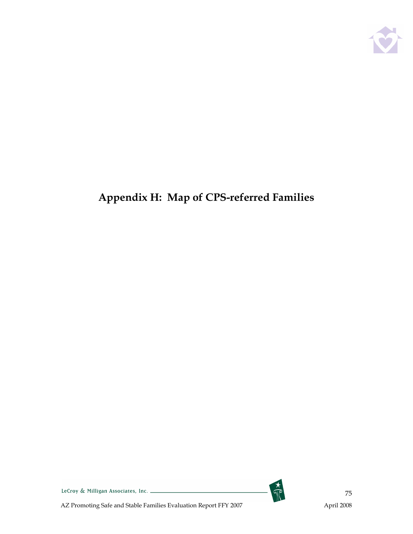

## Appendix H: Map of CPS-referred Families



 $rac{1}{\sqrt{2}}$ 

75

LeCroy & Milligan Associates, Inc.

AZ Promoting Safe and Stable Families Evaluation Report FFY 2007 April 2008